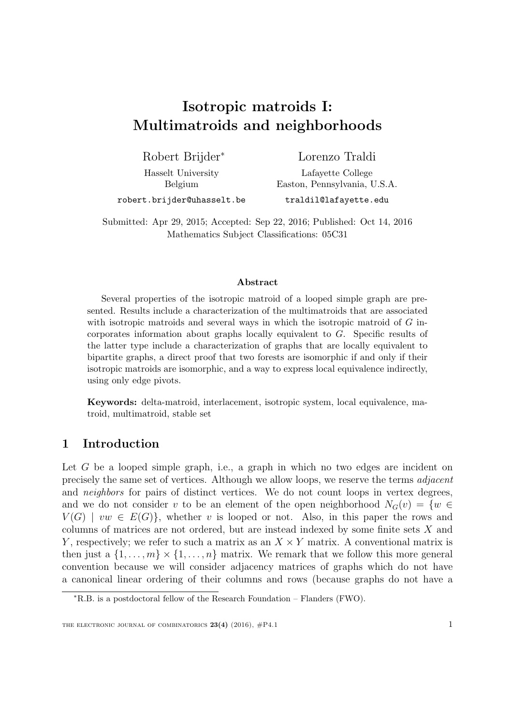# <span id="page-0-0"></span>Isotropic matroids I: Multimatroids and neighborhoods

Robert Brijder<sup>∗</sup> Hasselt University

Lorenzo Traldi

Belgium robert.brijder@uhasselt.be

Lafayette College Easton, Pennsylvania, U.S.A. traldil@lafayette.edu

Submitted: Apr 29, 2015; Accepted: Sep 22, 2016; Published: Oct 14, 2016 Mathematics Subject Classifications: 05C31

#### Abstract

Several properties of the isotropic matroid of a looped simple graph are presented. Results include a characterization of the multimatroids that are associated with isotropic matroids and several ways in which the isotropic matroid of G incorporates information about graphs locally equivalent to G. Specific results of the latter type include a characterization of graphs that are locally equivalent to bipartite graphs, a direct proof that two forests are isomorphic if and only if their isotropic matroids are isomorphic, and a way to express local equivalence indirectly, using only edge pivots.

Keywords: delta-matroid, interlacement, isotropic system, local equivalence, matroid, multimatroid, stable set

# 1 Introduction

Let  $G$  be a looped simple graph, i.e., a graph in which no two edges are incident on precisely the same set of vertices. Although we allow loops, we reserve the terms adjacent and *neighbors* for pairs of distinct vertices. We do not count loops in vertex degrees, and we do not consider v to be an element of the open neighborhood  $N_G(v) = \{w \in$  $V(G)$  |  $vw \in E(G)$ }, whether v is looped or not. Also, in this paper the rows and columns of matrices are not ordered, but are instead indexed by some finite sets X and Y, respectively; we refer to such a matrix as an  $X \times Y$  matrix. A conventional matrix is then just a  $\{1, \ldots, m\} \times \{1, \ldots, n\}$  matrix. We remark that we follow this more general convention because we will consider adjacency matrices of graphs which do not have a canonical linear ordering of their columns and rows (because graphs do not have a

<sup>∗</sup>R.B. is a postdoctoral fellow of the Research Foundation – Flanders (FWO).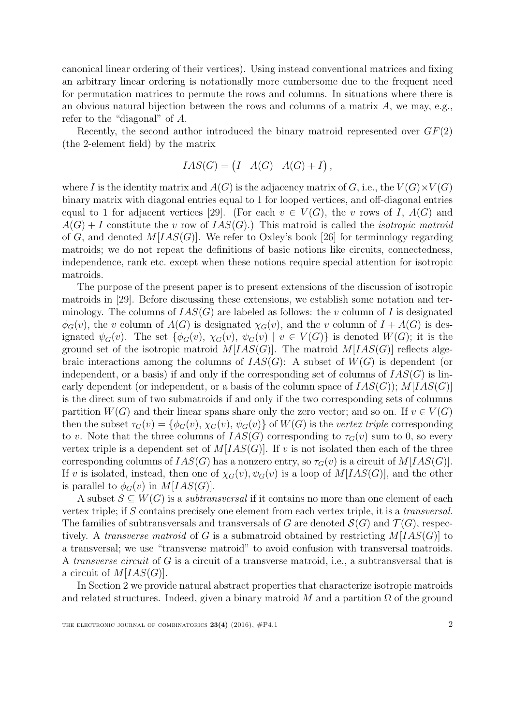canonical linear ordering of their vertices). Using instead conventional matrices and fixing an arbitrary linear ordering is notationally more cumbersome due to the frequent need for permutation matrices to permute the rows and columns. In situations where there is an obvious natural bijection between the rows and columns of a matrix  $A$ , we may, e.g., refer to the "diagonal" of A.

Recently, the second author introduced the binary matroid represented over  $GF(2)$ (the 2-element field) by the matrix

$$
IAS(G) = \begin{pmatrix} I & A(G) & A(G) + I \end{pmatrix},
$$

where I is the identity matrix and  $A(G)$  is the adjacency matrix of G, i.e., the  $V(G)\times V(G)$ binary matrix with diagonal entries equal to 1 for looped vertices, and off-diagonal entries equal to 1 for adjacent vertices [\[29\]](#page-40-0). (For each  $v \in V(G)$ , the v rows of I,  $A(G)$  and  $A(G) + I$  constitute the v row of  $IAS(G)$ .) This matroid is called the *isotropic matroid* of G, and denoted  $M[IAS(G)]$ . We refer to Oxley's book [\[26\]](#page-40-1) for terminology regarding matroids; we do not repeat the definitions of basic notions like circuits, connectedness, independence, rank etc. except when these notions require special attention for isotropic matroids.

The purpose of the present paper is to present extensions of the discussion of isotropic matroids in [\[29\]](#page-40-0). Before discussing these extensions, we establish some notation and terminology. The columns of  $IAS(G)$  are labeled as follows: the v column of I is designated  $\phi_G(v)$ , the v column of  $A(G)$  is designated  $\chi_G(v)$ , and the v column of  $I + A(G)$  is designated  $\psi_G(v)$ . The set  $\{\phi_G(v), \chi_G(v), \psi_G(v) \mid v \in V(G)\}\$ is denoted  $W(G)$ ; it is the ground set of the isotropic matroid  $M[IAS(G)]$ . The matroid  $M[IAS(G)]$  reflects algebraic interactions among the columns of  $IAS(G)$ : A subset of  $W(G)$  is dependent (or independent, or a basis) if and only if the corresponding set of columns of  $IAS(G)$  is linearly dependent (or independent, or a basis of the column space of  $IAS(G); M[IAS(G)]$ is the direct sum of two submatroids if and only if the two corresponding sets of columns partition  $W(G)$  and their linear spans share only the zero vector; and so on. If  $v \in V(G)$ then the subset  $\tau_G(v) = \{\phi_G(v), \chi_G(v), \psi_G(v)\}\$  of  $W(G)$  is the vertex triple corresponding to v. Note that the three columns of  $IAS(G)$  corresponding to  $\tau_G(v)$  sum to 0, so every vertex triple is a dependent set of  $M[IAS(G)]$ . If v is not isolated then each of the three corresponding columns of  $IAS(G)$  has a nonzero entry, so  $\tau_G(v)$  is a circuit of  $M[IAS(G)].$ If v is isolated, instead, then one of  $\chi_G(v), \psi_G(v)$  is a loop of  $M[IAS(G)]$ , and the other is parallel to  $\phi_G(v)$  in  $M[IAS(G)].$ 

A subset  $S \subseteq W(G)$  is a *subtransversal* if it contains no more than one element of each vertex triple; if S contains precisely one element from each vertex triple, it is a transversal. The families of subtransversals and transversals of G are denoted  $\mathcal{S}(G)$  and  $\mathcal{T}(G)$ , respectively. A transverse matroid of G is a submatroid obtained by restricting  $M[IAS(G)]$  to a transversal; we use "transverse matroid" to avoid confusion with transversal matroids. A transverse circuit of G is a circuit of a transverse matroid, i.e., a subtransversal that is a circuit of  $M[IAS(G)]$ .

In Section [2](#page-6-0) we provide natural abstract properties that characterize isotropic matroids and related structures. Indeed, given a binary matroid M and a partition  $\Omega$  of the ground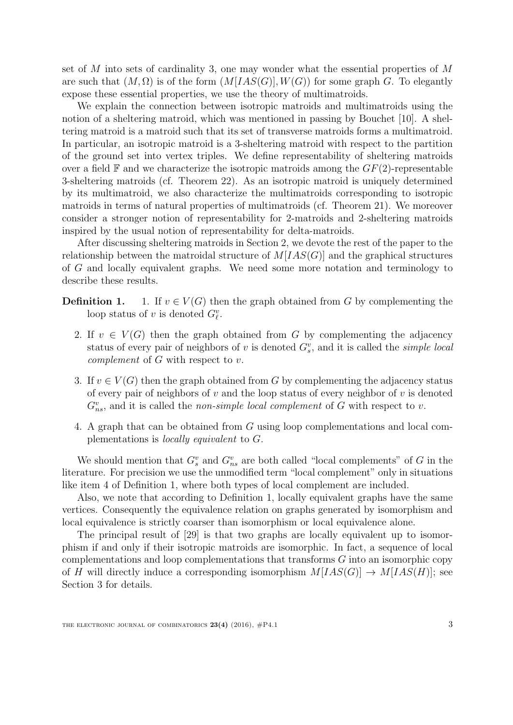set of M into sets of cardinality 3, one may wonder what the essential properties of  $M$ are such that  $(M, \Omega)$  is of the form  $(M[IAS(G)], W(G))$  for some graph G. To elegantly expose these essential properties, we use the theory of multimatroids.

We explain the connection between isotropic matroids and multimatroids using the notion of a sheltering matroid, which was mentioned in passing by Bouchet [\[10\]](#page-39-0). A sheltering matroid is a matroid such that its set of transverse matroids forms a multimatroid. In particular, an isotropic matroid is a 3-sheltering matroid with respect to the partition of the ground set into vertex triples. We define representability of sheltering matroids over a field  $\mathbb F$  and we characterize the isotropic matroids among the  $GF(2)$ -representable 3-sheltering matroids (cf. Theorem [22\)](#page-12-0). As an isotropic matroid is uniquely determined by its multimatroid, we also characterize the multimatroids corresponding to isotropic matroids in terms of natural properties of multimatroids (cf. Theorem [21\)](#page-11-0). We moreover consider a stronger notion of representability for 2-matroids and 2-sheltering matroids inspired by the usual notion of representability for delta-matroids.

After discussing sheltering matroids in Section [2,](#page-6-0) we devote the rest of the paper to the relationship between the matroidal structure of  $M[IAS(G)]$  and the graphical structures of G and locally equivalent graphs. We need some more notation and terminology to describe these results.

- **Definition 1.** 1. If  $v \in V(G)$  then the graph obtained from G by complementing the loop status of v is denoted  $G_{\ell}^v$ .
	- 2. If  $v \in V(G)$  then the graph obtained from G by complementing the adjacency status of every pair of neighbors of v is denoted  $G_s^v$ , and it is called the *simple local* complement of G with respect to v.
	- 3. If  $v \in V(G)$  then the graph obtained from G by complementing the adjacency status of every pair of neighbors of v and the loop status of every neighbor of v is denoted  $G_{ns}^v$ , and it is called the *non-simple local complement* of G with respect to v.
	- 4. A graph that can be obtained from G using loop complementations and local complementations is locally equivalent to G.

<span id="page-2-0"></span>We should mention that  $G_s^v$  and  $G_{ns}^v$  are both called "local complements" of G in the literature. For precision we use the unmodified term "local complement" only in situations like item [4](#page-2-0) of Definition [1,](#page-0-0) where both types of local complement are included.

Also, we note that according to Definition [1,](#page-0-0) locally equivalent graphs have the same vertices. Consequently the equivalence relation on graphs generated by isomorphism and local equivalence is strictly coarser than isomorphism or local equivalence alone.

The principal result of [\[29\]](#page-40-0) is that two graphs are locally equivalent up to isomorphism if and only if their isotropic matroids are isomorphic. In fact, a sequence of local complementations and loop complementations that transforms G into an isomorphic copy of H will directly induce a corresponding isomorphism  $M[IAS(G)] \rightarrow M[IAS(H)]$ ; see Section [3](#page-15-0) for details.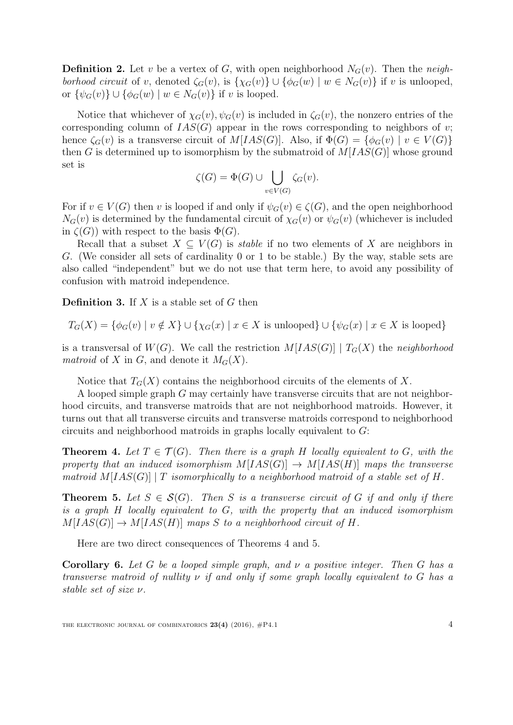**Definition 2.** Let v be a vertex of G, with open neighborhood  $N_G(v)$ . Then the neighborhood circuit of v, denoted  $\zeta_G(v)$ , is  $\{\chi_G(v)\}\cup \{\phi_G(w) \mid w \in N_G(v)\}\$ if v is unlooped, or  $\{\psi_G(v)\} \cup \{\phi_G(w) \mid w \in N_G(v)\}\$ if v is looped.

Notice that whichever of  $\chi_G(v), \psi_G(v)$  is included in  $\zeta_G(v)$ , the nonzero entries of the corresponding column of  $IAS(G)$  appear in the rows corresponding to neighbors of v; hence  $\zeta_G(v)$  is a transverse circuit of  $M[IAS(G)]$ . Also, if  $\Phi(G) = {\phi_G(v) \mid v \in V(G)}$ then G is determined up to isomorphism by the submatroid of  $M[IAS(G)]$  whose ground set is

$$
\zeta(G) = \Phi(G) \cup \bigcup_{v \in V(G)} \zeta_G(v).
$$

For if  $v \in V(G)$  then v is looped if and only if  $\psi_G(v) \in \zeta(G)$ , and the open neighborhood  $N_G(v)$  is determined by the fundamental circuit of  $\chi_G(v)$  or  $\psi_G(v)$  (whichever is included in  $\zeta(G)$ ) with respect to the basis  $\Phi(G)$ .

Recall that a subset  $X \subseteq V(G)$  is *stable* if no two elements of X are neighbors in G. (We consider all sets of cardinality 0 or 1 to be stable.) By the way, stable sets are also called "independent" but we do not use that term here, to avoid any possibility of confusion with matroid independence.

**Definition 3.** If  $X$  is a stable set of  $G$  then

$$
T_G(X) = \{ \phi_G(v) \mid v \notin X \} \cup \{ \chi_G(x) \mid x \in X \text{ is unlooped} \} \cup \{ \psi_G(x) \mid x \in X \text{ is looped} \}
$$

is a transversal of  $W(G)$ . We call the restriction  $M[IAS(G)] | T_G(X)$  the neighborhood matroid of X in G, and denote it  $M_G(X)$ .

Notice that  $T_G(X)$  contains the neighborhood circuits of the elements of X.

A looped simple graph G may certainly have transverse circuits that are not neighborhood circuits, and transverse matroids that are not neighborhood matroids. However, it turns out that all transverse circuits and transverse matroids correspond to neighborhood circuits and neighborhood matroids in graphs locally equivalent to G:

<span id="page-3-0"></span>**Theorem 4.** Let  $T \in \mathcal{T}(G)$ . Then there is a graph H locally equivalent to G, with the property that an induced isomorphism  $M[IAS(G)] \rightarrow M[IAS(H)]$  maps the transverse matroid  $M[IAS(G)] | T$  isomorphically to a neighborhood matroid of a stable set of H.

<span id="page-3-1"></span>**Theorem 5.** Let  $S \in \mathcal{S}(G)$ . Then S is a transverse circuit of G if and only if there is a graph H locally equivalent to G, with the property that an induced isomorphism  $M[IAS(G)] \rightarrow M[IAS(H)]$  maps S to a neighborhood circuit of H.

Here are two direct consequences of Theorems [4](#page-3-0) and [5.](#page-3-1)

<span id="page-3-2"></span>**Corollary 6.** Let G be a looped simple graph, and  $\nu$  a positive integer. Then G has a transverse matroid of nullity  $\nu$  if and only if some graph locally equivalent to G has a stable set of size ν.

THE ELECTRONIC JOURNAL OF COMBINATORICS  $23(4)$  (2016),  $\#P4.1$  4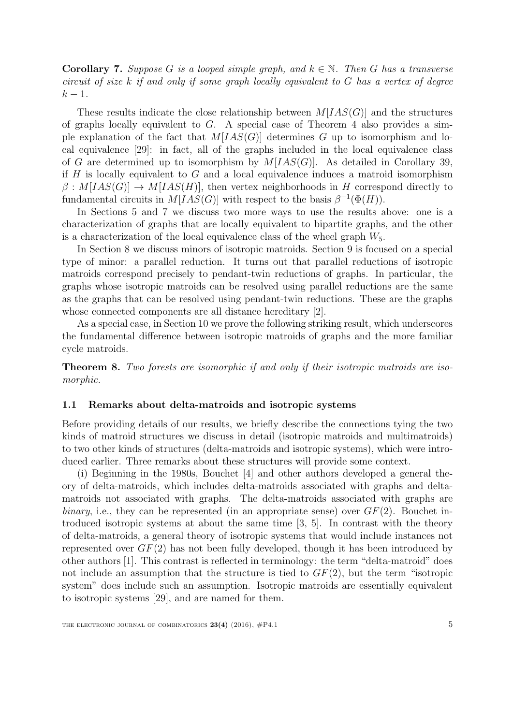<span id="page-4-0"></span>**Corollary 7.** Suppose G is a looped simple graph, and  $k \in \mathbb{N}$ . Then G has a transverse circuit of size  $k$  if and only if some graph locally equivalent to  $G$  has a vertex of degree  $k-1$ .

These results indicate the close relationship between  $M[IAS(G)]$  and the structures of graphs locally equivalent to  $G$ . A special case of Theorem [4](#page-3-0) also provides a simple explanation of the fact that  $M[IAS(G)]$  determines G up to isomorphism and local equivalence [\[29\]](#page-40-0): in fact, all of the graphs included in the local equivalence class of G are determined up to isomorphism by  $M[IAS(G)]$ . As detailed in Corollary [39,](#page-23-0) if  $H$  is locally equivalent to  $G$  and a local equivalence induces a matroid isomorphism  $\beta: M[IAS(G)] \to M[IAS(H)]$ , then vertex neighborhoods in H correspond directly to fundamental circuits in  $M[IAS(G)]$  with respect to the basis  $\beta^{-1}(\Phi(H))$ .

In Sections [5](#page-25-0) and [7](#page-30-0) we discuss two more ways to use the results above: one is a characterization of graphs that are locally equivalent to bipartite graphs, and the other is a characterization of the local equivalence class of the wheel graph  $W_5$ .

In Section [8](#page-31-0) we discuss minors of isotropic matroids. Section [9](#page-32-0) is focused on a special type of minor: a parallel reduction. It turns out that parallel reductions of isotropic matroids correspond precisely to pendant-twin reductions of graphs. In particular, the graphs whose isotropic matroids can be resolved using parallel reductions are the same as the graphs that can be resolved using pendant-twin reductions. These are the graphs whose connected components are all distance hereditary [\[2\]](#page-38-0).

As a special case, in Section [10](#page-37-0) we prove the following striking result, which underscores the fundamental difference between isotropic matroids of graphs and the more familiar cycle matroids.

<span id="page-4-1"></span>Theorem 8. Two forests are isomorphic if and only if their isotropic matroids are isomorphic.

#### 1.1 Remarks about delta-matroids and isotropic systems

Before providing details of our results, we briefly describe the connections tying the two kinds of matroid structures we discuss in detail (isotropic matroids and multimatroids) to two other kinds of structures (delta-matroids and isotropic systems), which were introduced earlier. Three remarks about these structures will provide some context.

(i) Beginning in the 1980s, Bouchet [\[4\]](#page-38-1) and other authors developed a general theory of delta-matroids, which includes delta-matroids associated with graphs and deltamatroids not associated with graphs. The delta-matroids associated with graphs are binary, i.e., they can be represented (in an appropriate sense) over  $GF(2)$ . Bouchet introduced isotropic systems at about the same time [\[3,](#page-38-2) [5\]](#page-38-3). In contrast with the theory of delta-matroids, a general theory of isotropic systems that would include instances not represented over  $GF(2)$  has not been fully developed, though it has been introduced by other authors [\[1\]](#page-38-4). This contrast is reflected in terminology: the term "delta-matroid" does not include an assumption that the structure is tied to  $GF(2)$ , but the term "isotropic system" does include such an assumption. Isotropic matroids are essentially equivalent to isotropic systems [\[29\]](#page-40-0), and are named for them.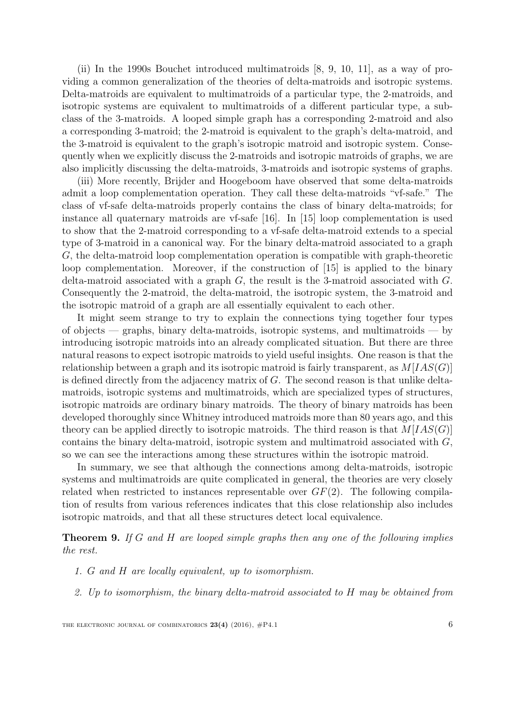(ii) In the 1990s Bouchet introduced multimatroids [\[8,](#page-39-1) [9,](#page-39-2) [10,](#page-39-0) [11\]](#page-39-3), as a way of providing a common generalization of the theories of delta-matroids and isotropic systems. Delta-matroids are equivalent to multimatroids of a particular type, the 2-matroids, and isotropic systems are equivalent to multimatroids of a different particular type, a subclass of the 3-matroids. A looped simple graph has a corresponding 2-matroid and also a corresponding 3-matroid; the 2-matroid is equivalent to the graph's delta-matroid, and the 3-matroid is equivalent to the graph's isotropic matroid and isotropic system. Consequently when we explicitly discuss the 2-matroids and isotropic matroids of graphs, we are also implicitly discussing the delta-matroids, 3-matroids and isotropic systems of graphs.

(iii) More recently, Brijder and Hoogeboom have observed that some delta-matroids admit a loop complementation operation. They call these delta-matroids "vf-safe." The class of vf-safe delta-matroids properly contains the class of binary delta-matroids; for instance all quaternary matroids are vf-safe [\[16\]](#page-39-4). In [\[15\]](#page-39-5) loop complementation is used to show that the 2-matroid corresponding to a vf-safe delta-matroid extends to a special type of 3-matroid in a canonical way. For the binary delta-matroid associated to a graph G, the delta-matroid loop complementation operation is compatible with graph-theoretic loop complementation. Moreover, if the construction of [\[15\]](#page-39-5) is applied to the binary delta-matroid associated with a graph  $G$ , the result is the 3-matroid associated with  $G$ . Consequently the 2-matroid, the delta-matroid, the isotropic system, the 3-matroid and the isotropic matroid of a graph are all essentially equivalent to each other.

It might seem strange to try to explain the connections tying together four types of objects — graphs, binary delta-matroids, isotropic systems, and multimatroids — by introducing isotropic matroids into an already complicated situation. But there are three natural reasons to expect isotropic matroids to yield useful insights. One reason is that the relationship between a graph and its isotropic matroid is fairly transparent, as  $M[IAS(G)]$ is defined directly from the adjacency matrix of G. The second reason is that unlike deltamatroids, isotropic systems and multimatroids, which are specialized types of structures, isotropic matroids are ordinary binary matroids. The theory of binary matroids has been developed thoroughly since Whitney introduced matroids more than 80 years ago, and this theory can be applied directly to isotropic matroids. The third reason is that  $M[IAS(G)]$ contains the binary delta-matroid, isotropic system and multimatroid associated with G, so we can see the interactions among these structures within the isotropic matroid.

In summary, we see that although the connections among delta-matroids, isotropic systems and multimatroids are quite complicated in general, the theories are very closely related when restricted to instances representable over  $GF(2)$ . The following compilation of results from various references indicates that this close relationship also includes isotropic matroids, and that all these structures detect local equivalence.

<span id="page-5-0"></span>**Theorem 9.** If G and H are looped simple graphs then any one of the following implies the rest.

- 1. G and H are locally equivalent, up to isomorphism.
- 2. Up to isomorphism, the binary delta-matroid associated to H may be obtained from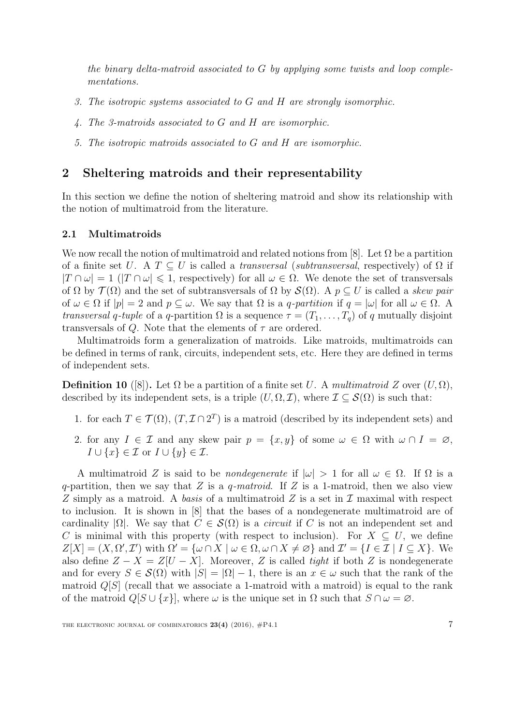the binary delta-matroid associated to G by applying some twists and loop complementations.

- 3. The isotropic systems associated to G and H are strongly isomorphic.
- 4. The 3-matroids associated to G and H are isomorphic.
- 5. The isotropic matroids associated to G and H are isomorphic.

# <span id="page-6-0"></span>2 Sheltering matroids and their representability

In this section we define the notion of sheltering matroid and show its relationship with the notion of multimatroid from the literature.

#### <span id="page-6-1"></span>2.1 Multimatroids

We now recall the notion of multimatroid and related notions from [\[8\]](#page-39-1). Let  $\Omega$  be a partition of a finite set U. A  $T \subseteq U$  is called a *transversal* (*subtransversal*, respectively) of  $\Omega$  if  $|T \cap \omega| = 1$  ( $|T \cap \omega| \leq 1$ , respectively) for all  $\omega \in \Omega$ . We denote the set of transversals of  $\Omega$  by  $\mathcal{T}(\Omega)$  and the set of subtransversals of  $\Omega$  by  $\mathcal{S}(\Omega)$ . A  $p \subseteq U$  is called a skew pair of  $\omega \in \Omega$  if  $|p| = 2$  and  $p \subseteq \omega$ . We say that  $\Omega$  is a q-partition if  $q = |\omega|$  for all  $\omega \in \Omega$ . A *transversal q-tuple* of a *q*-partition  $\Omega$  is a sequence  $\tau = (T_1, \ldots, T_a)$  of q mutually disjoint transversals of Q. Note that the elements of  $\tau$  are ordered.

Multimatroids form a generalization of matroids. Like matroids, multimatroids can be defined in terms of rank, circuits, independent sets, etc. Here they are defined in terms of independent sets.

**Definition 10** ([\[8\]](#page-39-1)). Let  $\Omega$  be a partition of a finite set U. A multimatroid Z over  $(U, \Omega)$ , described by its independent sets, is a triple  $(U, \Omega, \mathcal{I})$ , where  $\mathcal{I} \subseteq \mathcal{S}(\Omega)$  is such that:

- 1. for each  $T \in \mathcal{T}(\Omega)$ ,  $(T, \mathcal{I} \cap 2^T)$  is a matroid (described by its independent sets) and
- 2. for any  $I \in \mathcal{I}$  and any skew pair  $p = \{x, y\}$  of some  $\omega \in \Omega$  with  $\omega \cap I = \varnothing$ ,  $I \cup \{x\} \in \mathcal{I}$  or  $I \cup \{y\} \in \mathcal{I}$ .

A multimatroid Z is said to be *nondegenerate* if  $|\omega| > 1$  for all  $\omega \in \Omega$ . If  $\Omega$  is a q-partition, then we say that Z is a q-matroid. If Z is a 1-matroid, then we also view Z simply as a matroid. A basis of a multimatroid  $Z$  is a set in  $\mathcal I$  maximal with respect to inclusion. It is shown in [\[8\]](#page-39-1) that the bases of a nondegenerate multimatroid are of cardinality  $|\Omega|$ . We say that  $C \in \mathcal{S}(\Omega)$  is a *circuit* if C is not an independent set and C is minimal with this property (with respect to inclusion). For  $X \subseteq U$ , we define  $Z[X] = (X, \Omega', \mathcal{I}')$  with  $\Omega' = {\omega \cap X \mid \omega \in \Omega, \omega \cap X \neq \varnothing}$  and  $\mathcal{I}' = {I \in \mathcal{I} \mid I \subseteq X}$ . We also define  $Z - X = Z[U - X]$ . Moreover, Z is called *tight* if both Z is nondegenerate and for every  $S \in \mathcal{S}(\Omega)$  with  $|S| = |\Omega| - 1$ , there is an  $x \in \omega$  such that the rank of the matroid  $Q[S]$  (recall that we associate a 1-matroid with a matroid) is equal to the rank of the matroid  $Q[S \cup \{x\}]$ , where  $\omega$  is the unique set in  $\Omega$  such that  $S \cap \omega = \varnothing$ .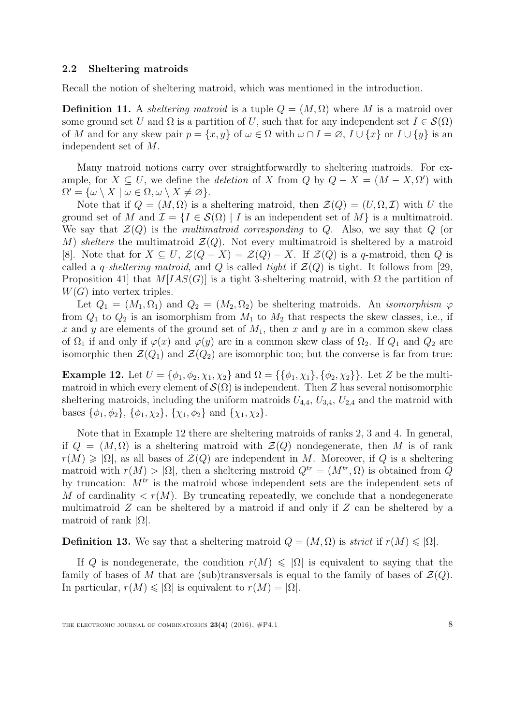#### 2.2 Sheltering matroids

Recall the notion of sheltering matroid, which was mentioned in the introduction.

**Definition 11.** A *sheltering matroid* is a tuple  $Q = (M, \Omega)$  where M is a matroid over some ground set U and  $\Omega$  is a partition of U, such that for any independent set  $I \in \mathcal{S}(\Omega)$ of M and for any skew pair  $p = \{x, y\}$  of  $\omega \in \Omega$  with  $\omega \cap I = \emptyset$ ,  $I \cup \{x\}$  or  $I \cup \{y\}$  is an independent set of M.

Many matroid notions carry over straightforwardly to sheltering matroids. For example, for  $X \subseteq U$ , we define the *deletion* of X from Q by  $Q - X = (M - X, \Omega')$  with  $\Omega' = \{ \omega \setminus X \mid \omega \in \Omega, \omega \setminus X \neq \varnothing \}.$ 

Note that if  $Q = (M, \Omega)$  is a sheltering matroid, then  $\mathcal{Z}(Q) = (U, \Omega, \mathcal{I})$  with U the ground set of M and  $\mathcal{I} = \{I \in \mathcal{S}(\Omega) \mid I \text{ is an independent set of } M\}$  is a multimatroid. We say that  $\mathcal{Z}(Q)$  is the multimatroid corresponding to Q. Also, we say that Q (or M) shelters the multimatroid  $\mathcal{Z}(Q)$ . Not every multimatroid is sheltered by a matroid [\[8\]](#page-39-1). Note that for  $X \subseteq U$ ,  $\mathcal{Z}(Q - X) = \mathcal{Z}(Q) - X$ . If  $\mathcal{Z}(Q)$  is a q-matroid, then Q is called a *q-sheltering matroid*, and Q is called *tight* if  $\mathcal{Z}(Q)$  is tight. It follows from [\[29,](#page-40-0) Proposition 41] that  $M[IAS(G)]$  is a tight 3-sheltering matroid, with  $\Omega$  the partition of  $W(G)$  into vertex triples.

Let  $Q_1 = (M_1, \Omega_1)$  and  $Q_2 = (M_2, \Omega_2)$  be sheltering matroids. An *isomorphism*  $\varphi$ from  $Q_1$  to  $Q_2$  is an isomorphism from  $M_1$  to  $M_2$  that respects the skew classes, i.e., if x and y are elements of the ground set of  $M_1$ , then x and y are in a common skew class of  $\Omega_1$  if and only if  $\varphi(x)$  and  $\varphi(y)$  are in a common skew class of  $\Omega_2$ . If  $Q_1$  and  $Q_2$  are isomorphic then  $\mathcal{Z}(Q_1)$  and  $\mathcal{Z}(Q_2)$  are isomorphic too; but the converse is far from true:

<span id="page-7-0"></span>**Example 12.** Let  $U = {\phi_1, \phi_2, \chi_1, \chi_2}$  and  $\Omega = {\phi_1, \chi_1}, {\phi_2, \chi_2}$ . Let Z be the multimatroid in which every element of  $\mathcal{S}(\Omega)$  is independent. Then Z has several nonisomorphic sheltering matroids, including the uniform matroids  $U_{4,4}$ ,  $U_{3,4}$ ,  $U_{2,4}$  and the matroid with bases  $\{\phi_1, \phi_2\}, \{\phi_1, \chi_2\}, \{\chi_1, \phi_2\}$  and  $\{\chi_1, \chi_2\}.$ 

Note that in Example [12](#page-7-0) there are sheltering matroids of ranks 2, 3 and 4. In general, if  $Q = (M, \Omega)$  is a sheltering matroid with  $\mathcal{Z}(Q)$  nondegenerate, then M is of rank  $r(M) \geq |\Omega|$ , as all bases of  $\mathcal{Z}(Q)$  are independent in M. Moreover, if Q is a sheltering matroid with  $r(M) > |\Omega|$ , then a sheltering matroid  $Q^{tr} = (M^{tr}, \Omega)$  is obtained from Q by truncation:  $M<sup>tr</sup>$  is the matroid whose independent sets are the independent sets of M of cardinality  $\langle r(M) \rangle$ . By truncating repeatedly, we conclude that a nondegenerate multimatroid  $Z$  can be sheltered by a matroid if and only if  $Z$  can be sheltered by a matroid of rank  $|\Omega|$ .

**Definition 13.** We say that a sheltering matroid  $Q = (M, \Omega)$  is *strict* if  $r(M) \leq |\Omega|$ .

If Q is nondegenerate, the condition  $r(M) \leq \Omega$  is equivalent to saying that the family of bases of M that are (sub)transversals is equal to the family of bases of  $\mathcal{Z}(Q)$ . In particular,  $r(M) \leqslant |\Omega|$  is equivalent to  $r(M) = |\Omega|$ .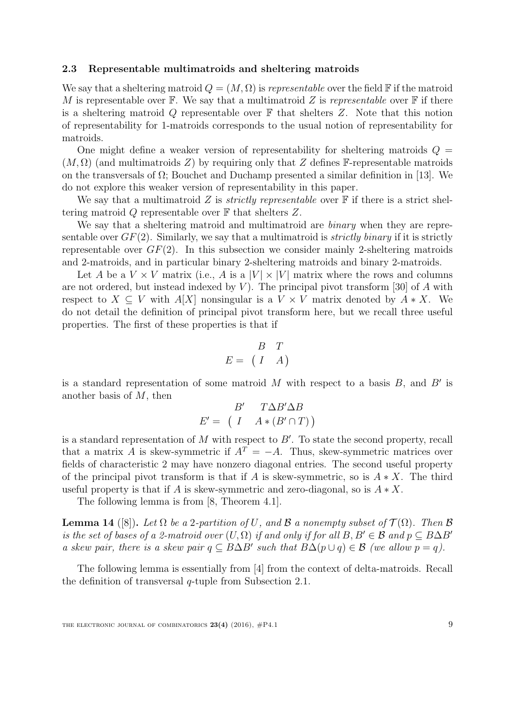#### 2.3 Representable multimatroids and sheltering matroids

We say that a sheltering matroid  $Q = (M, \Omega)$  is *representable* over the field F if the matroid M is representable over  $\mathbb F$ . We say that a multimatroid Z is representable over  $\mathbb F$  if there is a sheltering matroid Q representable over  $\mathbb F$  that shelters Z. Note that this notion of representability for 1-matroids corresponds to the usual notion of representability for matroids.

One might define a weaker version of representability for sheltering matroids  $Q =$  $(M, \Omega)$  (and multimatroids Z) by requiring only that Z defines F-representable matroids on the transversals of  $\Omega$ ; Bouchet and Duchamp presented a similar definition in [\[13\]](#page-39-6). We do not explore this weaker version of representability in this paper.

We say that a multimatroid Z is *strictly representable* over  $\mathbb F$  if there is a strict sheltering matroid  $Q$  representable over  $\mathbb F$  that shelters  $Z$ .

We say that a sheltering matroid and multimatroid are *binary* when they are representable over  $GF(2)$ . Similarly, we say that a multimatroid is *strictly binary* if it is strictly representable over  $GF(2)$ . In this subsection we consider mainly 2-sheltering matroids and 2-matroids, and in particular binary 2-sheltering matroids and binary 2-matroids.

Let A be a  $V \times V$  matrix (i.e., A is a  $|V| \times |V|$  matrix where the rows and columns are not ordered, but instead indexed by  $V$ ). The principal pivot transform [\[30\]](#page-40-2) of A with respect to  $X \subseteq V$  with  $A[X]$  nonsingular is a  $V \times V$  matrix denoted by  $A * X$ . We do not detail the definition of principal pivot transform here, but we recall three useful properties. The first of these properties is that if

$$
E = \begin{pmatrix} B & T \\ I & A \end{pmatrix}
$$

is a standard representation of some matroid  $M$  with respect to a basis  $B$ , and  $B'$  is another basis of  $M$ , then  $\theta$ <sup>0</sup> T  $\Delta$  D<sup> $\theta$ </sup>

$$
B' \quad T\Delta B' \Delta B
$$

$$
E' = \left( \begin{array}{cc} I & A * (B' \cap T) \end{array} \right)
$$

is a standard representation of  $M$  with respect to  $B'$ . To state the second property, recall that a matrix A is skew-symmetric if  $A<sup>T</sup> = -A$ . Thus, skew-symmetric matrices over fields of characteristic 2 may have nonzero diagonal entries. The second useful property of the principal pivot transform is that if A is skew-symmetric, so is  $A * X$ . The third useful property is that if A is skew-symmetric and zero-diagonal, so is  $A * X$ .

The following lemma is from [\[8,](#page-39-1) Theorem 4.1].

<span id="page-8-0"></span>**Lemma 14** ([\[8\]](#page-39-1)). Let  $\Omega$  be a 2-partition of U, and  $\beta$  a nonempty subset of  $\mathcal{T}(\Omega)$ . Then  $\beta$ is the set of bases of a 2-matroid over  $(U, \Omega)$  if and only if for all  $B, B' \in \mathcal{B}$  and  $p \subset B \Delta B'$ a skew pair, there is a skew pair  $q \subseteq B\Delta B'$  such that  $B\Delta(p \cup q) \in \mathcal{B}$  (we allow  $p = q$ ).

The following lemma is essentially from [\[4\]](#page-38-1) from the context of delta-matroids. Recall the definition of transversal q-tuple from Subsection [2.1.](#page-6-1)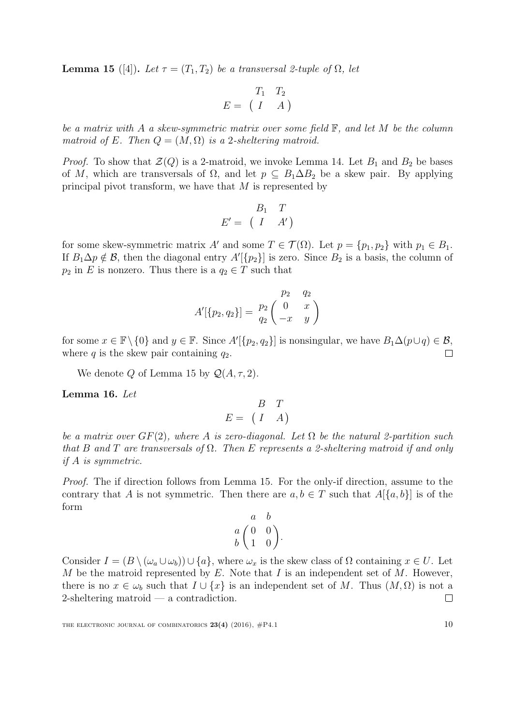<span id="page-9-0"></span>**Lemma 15** ([\[4\]](#page-38-1)). Let  $\tau = (T_1, T_2)$  be a transversal 2-tuple of  $\Omega$ , let

$$
E = \begin{pmatrix} T_1 & T_2 \\ I & A \end{pmatrix}
$$

be a matrix with A a skew-symmetric matrix over some field  $\mathbb{F}$ , and let M be the column matroid of E. Then  $Q = (M, \Omega)$  is a 2-sheltering matroid.

*Proof.* To show that  $\mathcal{Z}(Q)$  is a 2-matroid, we invoke Lemma [14.](#page-8-0) Let  $B_1$  and  $B_2$  be bases of M, which are transversals of  $\Omega$ , and let  $p \subseteq B_1 \Delta B_2$  be a skew pair. By applying principal pivot transform, we have that  $M$  is represented by

$$
E' = \begin{pmatrix} B_1 & T \\ I & A' \end{pmatrix}
$$

for some skew-symmetric matrix A' and some  $T \in \mathcal{T}(\Omega)$ . Let  $p = \{p_1, p_2\}$  with  $p_1 \in B_1$ . If  $B_1 \Delta p \notin \mathcal{B}$ , then the diagonal entry  $A'[\{p_2\}]$  is zero. Since  $B_2$  is a basis, the column of  $p_2$  in E is nonzero. Thus there is a  $q_2 \in T$  such that

$$
A'[\{p_2, q_2\}] = \begin{pmatrix} p_2 & q_2 \\ q_2 & q_2 \\ -x & y \end{pmatrix}
$$

for some  $x \in \mathbb{F} \setminus \{0\}$  and  $y \in \mathbb{F}$ . Since  $A'[\{p_2, q_2\}]$  is nonsingular, we have  $B_1 \Delta(p \cup q) \in \mathcal{B}$ , where  $q$  is the skew pair containing  $q_2$ .  $\Box$ 

We denote Q of Lemma [15](#page-9-0) by  $\mathcal{Q}(A, \tau, 2)$ .

<span id="page-9-1"></span>Lemma 16. Let

$$
E = \begin{pmatrix} B & T \\ I & A \end{pmatrix}
$$

be a matrix over  $GF(2)$ , where A is zero-diagonal. Let  $\Omega$  be the natural 2-partition such that B and T are transversals of  $\Omega$ . Then E represents a 2-sheltering matroid if and only if A is symmetric.

Proof. The if direction follows from Lemma [15.](#page-9-0) For the only-if direction, assume to the contrary that A is not symmetric. Then there are  $a, b \in T$  such that  $A[{a, b}]$  is of the form

$$
\begin{array}{cc}\n & a & b \\
a & 0 & 0 \\
b & 1 & 0\n\end{array}
$$

Consider  $I = (B \setminus (\omega_a \cup \omega_b)) \cup \{a\}$ , where  $\omega_x$  is the skew class of  $\Omega$  containing  $x \in U$ . Let M be the matroid represented by  $E$ . Note that  $I$  is an independent set of  $M$ . However, there is no  $x \in \omega_b$  such that  $I \cup \{x\}$  is an independent set of M. Thus  $(M, \Omega)$  is not a 2-sheltering matroid — a contradiction.  $\Box$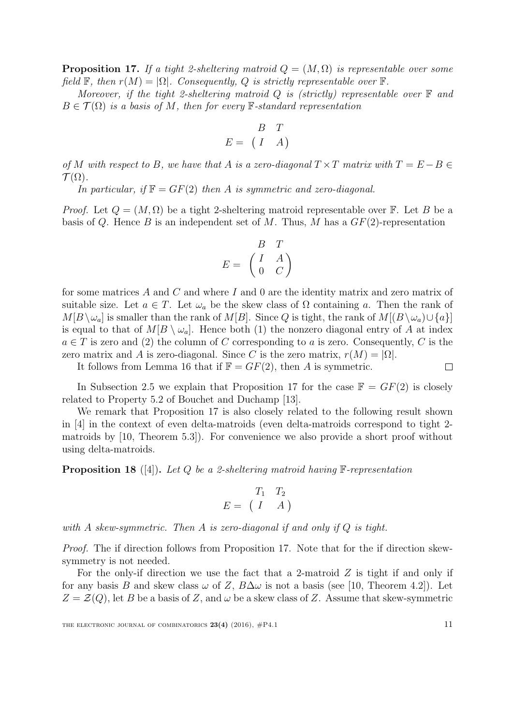<span id="page-10-0"></span>**Proposition 17.** If a tight 2-sheltering matroid  $Q = (M, \Omega)$  is representable over some field  $\mathbb{F}$ , then  $r(M) = |\Omega|$ . Consequently, Q is strictly representable over  $\mathbb{F}$ .

Moreover, if the tight 2-sheltering matroid Q is (strictly) representable over  $\mathbb F$  and  $B \in \mathcal{T}(\Omega)$  is a basis of M, then for every F-standard representation

$$
E = \begin{pmatrix} B & T \\ I & A \end{pmatrix}
$$

of M with respect to B, we have that A is a zero-diagonal  $T \times T$  matrix with  $T = E - B \in$  $\mathcal{T}(\Omega)$ .

In particular, if  $\mathbb{F} = GF(2)$  then A is symmetric and zero-diagonal.

*Proof.* Let  $Q = (M, \Omega)$  be a tight 2-sheltering matroid representable over F. Let B be a basis of Q. Hence B is an independent set of M. Thus, M has a  $GF(2)$ -representation

$$
E = \begin{pmatrix} B & T \\ I & A \\ 0 & C \end{pmatrix}
$$

for some matrices  $A$  and  $C$  and where  $I$  and  $0$  are the identity matrix and zero matrix of suitable size. Let  $a \in T$ . Let  $\omega_a$  be the skew class of  $\Omega$  containing a. Then the rank of  $M[B\setminus\omega_a]$  is smaller than the rank of  $M[B]$ . Since Q is tight, the rank of  $M[(B\setminus\omega_a)\cup\{a\}]$ is equal to that of  $M[B \setminus \omega_a]$ . Hence both (1) the nonzero diagonal entry of A at index  $a \in T$  is zero and (2) the column of C corresponding to a is zero. Consequently, C is the zero matrix and A is zero-diagonal. Since C is the zero matrix,  $r(M) = |\Omega|$ .

It follows from Lemma [16](#page-9-1) that if  $\mathbb{F} = GF(2)$ , then A is symmetric.  $\Box$ 

In Subsection [2.5](#page-13-0) we explain that Proposition [17](#page-10-0) for the case  $\mathbb{F} = GF(2)$  is closely related to Property 5.2 of Bouchet and Duchamp [\[13\]](#page-39-6).

We remark that Proposition [17](#page-10-0) is also closely related to the following result shown in [\[4\]](#page-38-1) in the context of even delta-matroids (even delta-matroids correspond to tight 2 matroids by [\[10,](#page-39-0) Theorem 5.3]). For convenience we also provide a short proof without using delta-matroids.

**Proposition 18** ([\[4\]](#page-38-1)). Let Q be a 2-sheltering matroid having  $\mathbb{F}$ -representation

$$
E = \begin{pmatrix} T_1 & T_2 \\ I & A \end{pmatrix}
$$

with A skew-symmetric. Then A is zero-diagonal if and only if  $Q$  is tight.

Proof. The if direction follows from Proposition [17.](#page-10-0) Note that for the if direction skewsymmetry is not needed.

For the only-if direction we use the fact that a 2-matroid  $Z$  is tight if and only if for any basis B and skew class  $\omega$  of Z,  $B\Delta\omega$  is not a basis (see [\[10,](#page-39-0) Theorem 4.2]). Let  $Z = \mathcal{Z}(Q)$ , let B be a basis of Z, and  $\omega$  be a skew class of Z. Assume that skew-symmetric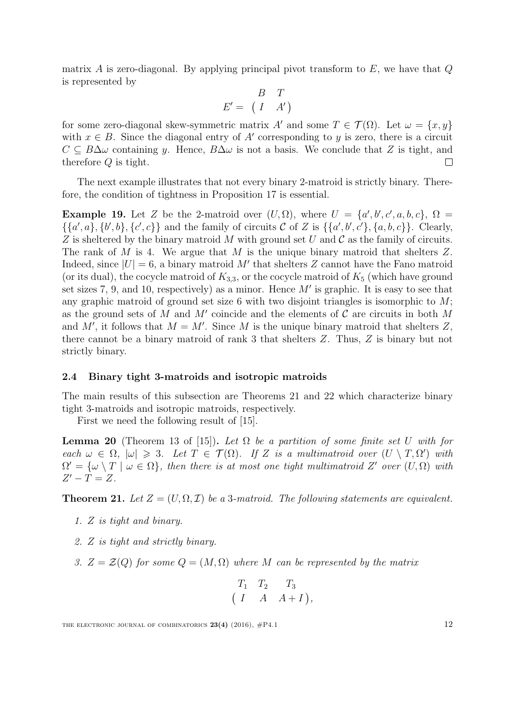matrix A is zero-diagonal. By applying principal pivot transform to  $E$ , we have that  $Q$ is represented by

$$
E' = \begin{pmatrix} B & T \\ I & A' \end{pmatrix}
$$

for some zero-diagonal skew-symmetric matrix A' and some  $T \in \mathcal{T}(\Omega)$ . Let  $\omega = \{x, y\}$ with  $x \in B$ . Since the diagonal entry of A' corresponding to y is zero, there is a circuit  $C \subseteq B\Delta\omega$  containing y. Hence,  $B\Delta\omega$  is not a basis. We conclude that Z is tight, and therefore Q is tight.  $\Box$ 

The next example illustrates that not every binary 2-matroid is strictly binary. Therefore, the condition of tightness in Proposition [17](#page-10-0) is essential.

**Example 19.** Let Z be the 2-matroid over  $(U, \Omega)$ , where  $U = \{a', b', c', a, b, c\}$ ,  $\Omega =$  $\{\{a',a\},\{b',b\},\{c',c\}\}\$ and the family of circuits  $\mathcal C$  of  $Z$  is  $\{\{a',b',c'\},\{a,b,c\}\}\$ . Clearly, Z is sheltered by the binary matroid M with ground set U and C as the family of circuits. The rank of M is 4. We argue that M is the unique binary matroid that shelters  $Z$ . Indeed, since  $|U| = 6$ , a binary matroid M' that shelters Z cannot have the Fano matroid (or its dual), the cocycle matroid of  $K_{3,3}$ , or the cocycle matroid of  $K_5$  (which have ground set sizes 7, 9, and 10, respectively) as a minor. Hence  $M'$  is graphic. It is easy to see that any graphic matroid of ground set size 6 with two disjoint triangles is isomorphic to  $M$ ; as the ground sets of M and  $M'$  coincide and the elements of C are circuits in both M and M', it follows that  $M = M'$ . Since M is the unique binary matroid that shelters Z, there cannot be a binary matroid of rank 3 that shelters Z. Thus, Z is binary but not strictly binary.

#### 2.4 Binary tight 3-matroids and isotropic matroids

The main results of this subsection are Theorems [21](#page-11-0) and [22](#page-12-0) which characterize binary tight 3-matroids and isotropic matroids, respectively.

First we need the following result of [\[15\]](#page-39-5).

<span id="page-11-4"></span>**Lemma 20** (Theorem 13 of [\[15\]](#page-39-5)). Let  $\Omega$  be a partition of some finite set U with for each  $\omega \in \Omega$ ,  $|\omega| \geq 3$ . Let  $T \in \mathcal{T}(\Omega)$ . If Z is a multimatroid over  $(U \setminus T, \Omega')$  with  $\Omega' = {\omega \setminus T \mid \omega \in \Omega},\$  then there is at most one tight multimatroid Z' over  $(U, \Omega)$  with  $Z'-T=Z$ .

<span id="page-11-0"></span>**Theorem 21.** Let  $Z = (U, \Omega, \mathcal{I})$  be a 3-matroid. The following statements are equivalent.

- <span id="page-11-2"></span>1. Z is tight and binary.
- <span id="page-11-1"></span>2. Z is tight and strictly binary.
- <span id="page-11-3"></span>3.  $Z = \mathcal{Z}(Q)$  for some  $Q = (M, \Omega)$  where M can be represented by the matrix

$$
\begin{pmatrix}\nT_1 & T_2 & T_3 \\
I & A & A+I\n\end{pmatrix},
$$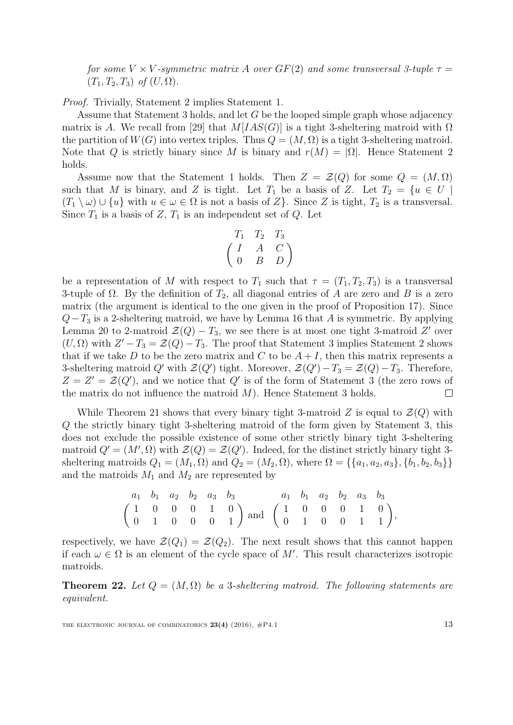for some V  $\times$  V-symmetric matrix A over  $GF(2)$  and some transversal 3-tuple  $\tau =$  $(T_1, T_2, T_3)$  of  $(U, \Omega)$ .

Proof. Trivially, Statement [2](#page-11-1) implies Statement [1.](#page-11-2)

Assume that Statement [3](#page-11-3) holds, and let G be the looped simple graph whose adjacency matrix is A. We recall from [\[29\]](#page-40-0) that  $M[IAS(G)]$  is a tight 3-sheltering matroid with  $\Omega$ the partition of  $W(G)$  into vertex triples. Thus  $Q = (M, \Omega)$  is a tight 3-sheltering matroid. Note that Q is strictly binary since M is binary and  $r(M) = |\Omega|$ . Hence Statement [2](#page-11-1) holds.

Assume now that the Statement [1](#page-11-2) holds. Then  $Z = \mathcal{Z}(Q)$  for some  $Q = (M, \Omega)$ such that M is binary, and Z is tight. Let  $T_1$  be a basis of Z. Let  $T_2 = \{u \in U \mid$  $(T_1 \setminus \omega) \cup \{u\}$  with  $u \in \omega \in \Omega$  is not a basis of  $Z$ . Since  $Z$  is tight,  $T_2$  is a transversal. Since  $T_1$  is a basis of  $Z$ ,  $T_1$  is an independent set of  $Q$ . Let

$$
\begin{pmatrix}\nT_1 & T_2 & T_3 \\
I & A & C \\
0 & B & D\n\end{pmatrix}
$$

be a representation of M with respect to  $T_1$  such that  $\tau = (T_1, T_2, T_3)$  is a transversal 3-tuple of  $\Omega$ . By the definition of  $T_2$ , all diagonal entries of A are zero and B is a zero matrix (the argument is identical to the one given in the proof of Proposition [17\)](#page-10-0). Since  $Q-T_3$  is a 2-sheltering matroid, we have by Lemma [16](#page-9-1) that A is symmetric. By applying Lemma [20](#page-11-4) to 2-matroid  $\mathcal{Z}(Q) - T_3$ , we see there is at most one tight 3-matroid Z' over  $(U, \Omega)$  with  $Z' - T_3 = \mathcal{Z}(Q) - T_3$  $Z' - T_3 = \mathcal{Z}(Q) - T_3$  $Z' - T_3 = \mathcal{Z}(Q) - T_3$ . The proof that Statement 3 implies Statement [2](#page-11-1) shows that if we take D to be the zero matrix and C to be  $A + I$ , then this matrix represents a 3-sheltering matroid Q' with  $\mathcal{Z}(Q')$  tight. Moreover,  $\mathcal{Z}(Q') - T_3 = \mathcal{Z}(Q) - T_3$ . Therefore,  $Z = Z' = Z(Q')$ , and we notice that Q' is of the form of Statement [3](#page-11-3) (the zero rows of the matrix do not influence the matroid  $M$ ). Hence Statement [3](#page-11-3) holds.  $\Box$ 

While Theorem [21](#page-11-0) shows that every binary tight 3-matroid Z is equal to  $\mathcal{Z}(Q)$  with Q the strictly binary tight 3-sheltering matroid of the form given by Statement 3, this does not exclude the possible existence of some other strictly binary tight 3-sheltering matroid  $Q' = (M', \Omega)$  with  $\mathcal{Z}(Q) = \mathcal{Z}(Q')$ . Indeed, for the distinct strictly binary tight 3sheltering matroids  $Q_1 = (M_1, \Omega)$  and  $Q_2 = (M_2, \Omega)$ , where  $\Omega = \{\{a_1, a_2, a_3\}, \{b_1, b_2, b_3\}\}\$ and the matroids  $M_1$  and  $M_2$  are represented by

$$
\begin{pmatrix} a_1 & b_1 & a_2 & b_2 & a_3 & b_3 \\ 1 & 0 & 0 & 0 & 1 & 0 \\ 0 & 1 & 0 & 0 & 0 & 1 \end{pmatrix} \text{ and } \begin{pmatrix} a_1 & b_1 & a_2 & b_2 & a_3 & b_3 \\ 1 & 0 & 0 & 0 & 1 & 0 \\ 0 & 1 & 0 & 0 & 1 & 1 \end{pmatrix},
$$

respectively, we have  $\mathcal{Z}(Q_1) = \mathcal{Z}(Q_2)$ . The next result shows that this cannot happen if each  $\omega \in \Omega$  is an element of the cycle space of M'. This result characterizes isotropic matroids.

<span id="page-12-0"></span>**Theorem 22.** Let  $Q = (M, \Omega)$  be a 3-sheltering matroid. The following statements are equivalent.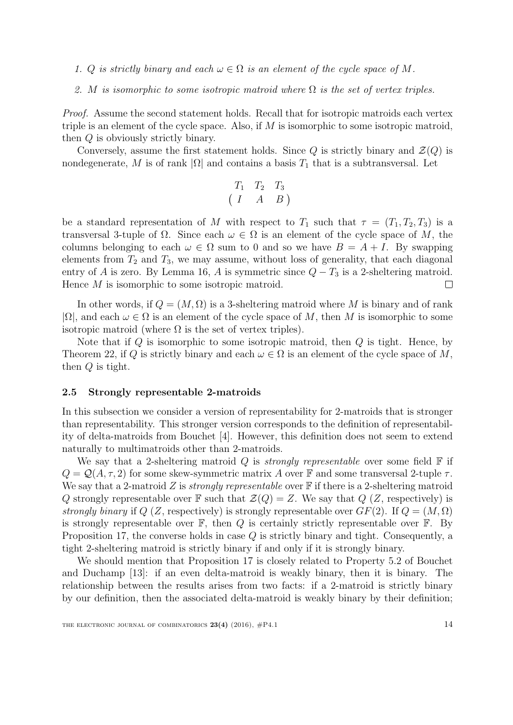- 1. Q is strictly binary and each  $\omega \in \Omega$  is an element of the cycle space of M.
- 2. M is isomorphic to some isotropic matroid where  $\Omega$  is the set of vertex triples.

Proof. Assume the second statement holds. Recall that for isotropic matroids each vertex triple is an element of the cycle space. Also, if M is isomorphic to some isotropic matroid, then Q is obviously strictly binary.

Conversely, assume the first statement holds. Since Q is strictly binary and  $\mathcal{Z}(Q)$  is nondegenerate, M is of rank  $|\Omega|$  and contains a basis  $T_1$  that is a subtransversal. Let

$$
\begin{pmatrix} T_1 & T_2 & T_3 \ T & A & B \end{pmatrix}
$$

be a standard representation of M with respect to  $T_1$  such that  $\tau = (T_1, T_2, T_3)$  is a transversal 3-tuple of  $\Omega$ . Since each  $\omega \in \Omega$  is an element of the cycle space of M, the columns belonging to each  $\omega \in \Omega$  sum to 0 and so we have  $B = A + I$ . By swapping elements from  $T_2$  and  $T_3$ , we may assume, without loss of generality, that each diagonal entry of A is zero. By Lemma [16,](#page-9-1) A is symmetric since  $Q - T_3$  is a 2-sheltering matroid. Hence M is isomorphic to some isotropic matroid.  $\Box$ 

In other words, if  $Q = (M, \Omega)$  is a 3-sheltering matroid where M is binary and of rank  $|\Omega|$ , and each  $\omega \in \Omega$  is an element of the cycle space of M, then M is isomorphic to some isotropic matroid (where  $\Omega$  is the set of vertex triples).

Note that if  $Q$  is isomorphic to some isotropic matroid, then  $Q$  is tight. Hence, by Theorem [22,](#page-12-0) if Q is strictly binary and each  $\omega \in \Omega$  is an element of the cycle space of M, then Q is tight.

#### <span id="page-13-0"></span>2.5 Strongly representable 2-matroids

In this subsection we consider a version of representability for 2-matroids that is stronger than representability. This stronger version corresponds to the definition of representability of delta-matroids from Bouchet [\[4\]](#page-38-1). However, this definition does not seem to extend naturally to multimatroids other than 2-matroids.

We say that a 2-sheltering matroid Q is *strongly representable* over some field  $\mathbb F$  if  $Q = Q(A, \tau, 2)$  for some skew-symmetric matrix A over F and some transversal 2-tuple  $\tau$ . We say that a 2-matroid Z is *strongly representable* over  $\mathbb F$  if there is a 2-sheltering matroid Q strongly representable over  $\mathbb F$  such that  $\mathcal Z(Q) = Z$ . We say that  $Q(Z)$ , respectively) is strongly binary if  $Q(Z, \text{respectively})$  is strongly representable over  $GF(2)$ . If  $Q = (M, \Omega)$ is strongly representable over  $\mathbb{F}$ , then  $Q$  is certainly strictly representable over  $\mathbb{F}$ . By Proposition [17,](#page-10-0) the converse holds in case Q is strictly binary and tight. Consequently, a tight 2-sheltering matroid is strictly binary if and only if it is strongly binary.

We should mention that Proposition [17](#page-10-0) is closely related to Property 5.2 of Bouchet and Duchamp [\[13\]](#page-39-6): if an even delta-matroid is weakly binary, then it is binary. The relationship between the results arises from two facts: if a 2-matroid is strictly binary by our definition, then the associated delta-matroid is weakly binary by their definition;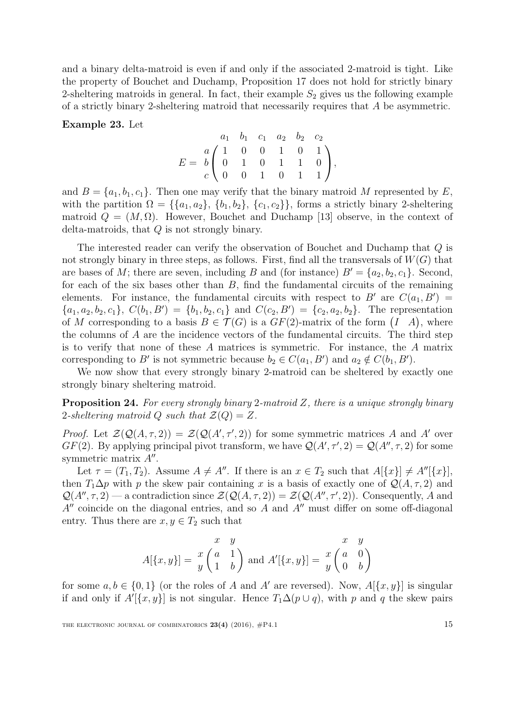and a binary delta-matroid is even if and only if the associated 2-matroid is tight. Like the property of Bouchet and Duchamp, Proposition [17](#page-10-0) does not hold for strictly binary 2-sheltering matroids in general. In fact, their example  $S_2$  gives us the following example of a strictly binary 2-sheltering matroid that necessarily requires that A be asymmetric.

Example 23. Let

$$
E = \begin{pmatrix} a_1 & b_1 & c_1 & a_2 & b_2 & c_2 \\ a & 1 & 0 & 0 & 1 & 0 & 1 \\ 0 & 1 & 0 & 1 & 1 & 0 \\ c & 0 & 0 & 1 & 0 & 1 & 1 \end{pmatrix},
$$

and  $B = \{a_1, b_1, c_1\}$ . Then one may verify that the binary matroid M represented by E, with the partition  $\Omega = \{\{a_1, a_2\}, \{b_1, b_2\}, \{c_1, c_2\}\}\$ , forms a strictly binary 2-sheltering matroid  $Q = (M, \Omega)$ . However, Bouchet and Duchamp [\[13\]](#page-39-6) observe, in the context of delta-matroids, that Q is not strongly binary.

The interested reader can verify the observation of Bouchet and Duchamp that Q is not strongly binary in three steps, as follows. First, find all the transversals of  $W(G)$  that are bases of M; there are seven, including B and (for instance)  $B' = \{a_2, b_2, c_1\}$ . Second, for each of the six bases other than  $B$ , find the fundamental circuits of the remaining elements. For instance, the fundamental circuits with respect to B' are  $C(a_1, B') =$  $\{a_1, a_2, b_2, c_1\}, C(b_1, B') = \{b_1, b_2, c_1\}$  and  $C(c_2, B') = \{c_2, a_2, b_2\}.$  The representation of M corresponding to a basis  $B \in \mathcal{T}(G)$  is a  $GF(2)$ -matrix of the form  $(I \ A)$ , where the columns of A are the incidence vectors of the fundamental circuits. The third step is to verify that none of these A matrices is symmetric. For instance, the A matrix corresponding to B' is not symmetric because  $b_2 \in C(a_1, B')$  and  $a_2 \notin C(b_1, B')$ .

We now show that every strongly binary 2-matroid can be sheltered by exactly one strongly binary sheltering matroid.

**Proposition 24.** For every strongly binary 2-matroid  $Z$ , there is a unique strongly binary 2-sheltering matroid Q such that  $\mathcal{Z}(Q) = Z$ .

*Proof.* Let  $\mathcal{Z}(\mathcal{Q}(A,\tau,2)) = \mathcal{Z}(\mathcal{Q}(A',\tau',2))$  for some symmetric matrices A and A' over  $GF(2)$ . By applying principal pivot transform, we have  $\mathcal{Q}(A', \tau', 2) = \mathcal{Q}(A'', \tau, 2)$  for some symmetric matrix  $A''$ .

Let  $\tau = (T_1, T_2)$ . Assume  $A \neq A''$ . If there is an  $x \in T_2$  such that  $A[\{x\}] \neq A''[\{x\}],$ then  $T_1\Delta p$  with p the skew pair containing x is a basis of exactly one of  $\mathcal{Q}(A, \tau, 2)$  and  $\mathcal{Q}(A'', \tau, 2)$  — a contradiction since  $\mathcal{Z}(\mathcal{Q}(A, \tau, 2)) = \mathcal{Z}(\mathcal{Q}(A'', \tau', 2))$ . Consequently, A and  $A''$  coincide on the diagonal entries, and so A and  $A''$  must differ on some off-diagonal entry. Thus there are  $x, y \in T_2$  such that

$$
A[\{x,y\}] = \begin{pmatrix} x & y & x & y \\ x & 1 & b \end{pmatrix}
$$
 and 
$$
A'[\{x,y\}] = \begin{pmatrix} x & y \\ y & 0 \end{pmatrix}
$$

for some  $a, b \in \{0, 1\}$  (or the roles of A and A' are reversed). Now,  $A[\{x, y\}]$  is singular if and only if  $A'[\{x, y\}]$  is not singular. Hence  $T_1\Delta(p\cup q)$ , with p and q the skew pairs

THE ELECTRONIC JOURNAL OF COMBINATORICS  $23(4)$  (2016),  $\#P4.1$  15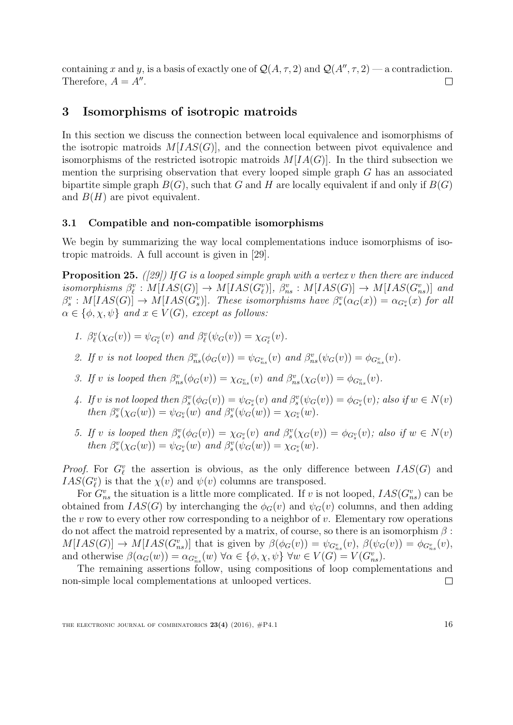containing x and y, is a basis of exactly one of  $\mathcal{Q}(A, \tau, 2)$  and  $\mathcal{Q}(A'', \tau, 2)$  — a contradiction. Therefore,  $A = A''$ .  $\Box$ 

# <span id="page-15-0"></span>3 Isomorphisms of isotropic matroids

In this section we discuss the connection between local equivalence and isomorphisms of the isotropic matroids  $M[IAS(G)]$ , and the connection between pivot equivalence and isomorphisms of the restricted isotropic matroids  $M[IA(G)]$ . In the third subsection we mention the surprising observation that every looped simple graph G has an associated bipartite simple graph  $B(G)$ , such that G and H are locally equivalent if and only if  $B(G)$ and  $B(H)$  are pivot equivalent.

### 3.1 Compatible and non-compatible isomorphisms

We begin by summarizing the way local complementations induce isomorphisms of isotropic matroids. A full account is given in [\[29\]](#page-40-0).

<span id="page-15-1"></span>**Proposition 25.** ([\[29\]](#page-40-0)) If G is a looped simple graph with a vertex v then there are induced isomorphisms  $\beta_{\ell}^v : M[IAS(G)] \to M[IAS(G_{\ell}^v)], \ \beta_{ns}^v : M[IAS(G)] \to M[IAS(G_{ns}^v)]$  and  $\beta_s^v: M[IAS(G)] \to M[IAS(G_s^v)]$ . These isomorphisms have  $\beta_*^v(\alpha_G(x)) = \alpha_{G_*^v}(x)$  for all  $\alpha \in \{\phi, \chi, \psi\}$  and  $x \in V(G)$ , except as follows:

- 1.  $\beta_{\ell}^{v}(\chi_{G}(v)) = \psi_{G_{\ell}^{v}}(v)$  and  $\beta_{\ell}^{v}(\psi_{G}(v)) = \chi_{G_{\ell}^{v}}(v)$ .
- 2. If v is not looped then  $\beta_{ns}^v(\phi_G(v)) = \psi_{G_{ns}^v}(v)$  and  $\beta_{ns}^v(\psi_G(v)) = \phi_{G_{ns}^v}(v)$ .
- 3. If v is looped then  $\beta_{ns}^v(\phi_G(v)) = \chi_{G_{ns}^v}(v)$  and  $\beta_{ns}^v(\chi_G(v)) = \phi_{G_{ns}^v}(v)$ .
- 4. If v is not looped then  $\beta_s^v(\phi_G(v)) = \psi_{G_s^v}(v)$  and  $\beta_s^v(\psi_G(v)) = \phi_{G_s^v}(v)$ ; also if  $w \in N(v)$ then  $\beta_s^v(\chi_G(w)) = \psi_{G_s^v}(w)$  and  $\beta_s^v(\psi_G(w)) = \chi_{G_s^v}(w)$ .
- 5. If v is looped then  $\beta_s^v(\phi_G(v)) = \chi_{G_s^v}(v)$  and  $\beta_s^v(\chi_G(v)) = \phi_{G_s^v}(v)$ ; also if  $w \in N(v)$ then  $\beta_s^v(\chi_G(w)) = \psi_{G_s^v}(w)$  and  $\beta_s^v(\psi_G(w)) = \chi_{G_s^v}(w)$ .

*Proof.* For  $G_{\ell}^{v}$  the assertion is obvious, as the only difference between  $IAS(G)$  and  $IAS(G_{\ell}^{v})$  is that the  $\chi(v)$  and  $\psi(v)$  columns are transposed.

For  $G_{ns}^v$  the situation is a little more complicated. If v is not looped,  $IAS(G_{ns}^v)$  can be obtained from  $IAS(G)$  by interchanging the  $\phi_G(v)$  and  $\psi_G(v)$  columns, and then adding the  $v$  row to every other row corresponding to a neighbor of  $v$ . Elementary row operations do not affect the matroid represented by a matrix, of course, so there is an isomorphism  $\beta$ :  $M[IAS(G)] \rightarrow M[IAS(G_{ns}^v)]$  that is given by  $\beta(\phi_G(v)) = \psi_{G_{ns}^v}(v)$ ,  $\beta(\psi_G(v)) = \phi_{G_{ns}^v}(v)$ , and otherwise  $\beta(\alpha_G(w)) = \alpha_{G_{ns}}(w) \,\forall \alpha \in \{\phi, \chi, \psi\} \,\forall w \in V(G) = V(G_{ns}^v).$ 

The remaining assertions follow, using compositions of loop complementations and non-simple local complementations at unlooped vertices.  $\Box$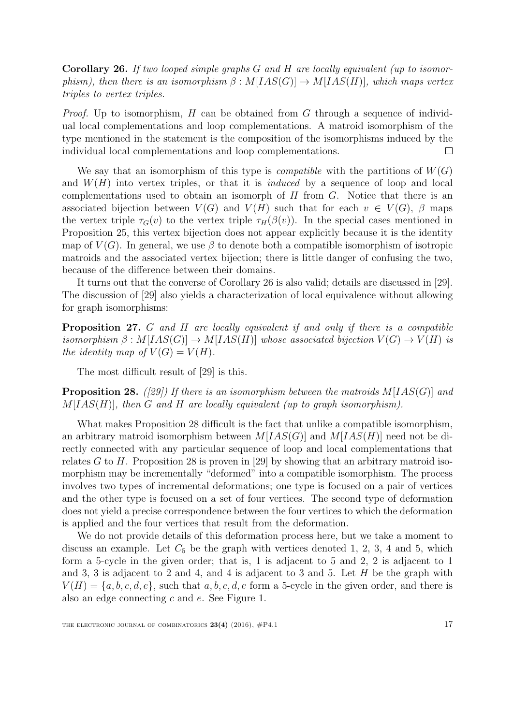<span id="page-16-0"></span>Corollary 26. If two looped simple graphs G and H are locally equivalent (up to isomorphism), then there is an isomorphism  $\beta : M[IAS(G)] \rightarrow M[IAS(H)]$ , which maps vertex triples to vertex triples.

*Proof.* Up to isomorphism,  $H$  can be obtained from  $G$  through a sequence of individual local complementations and loop complementations. A matroid isomorphism of the type mentioned in the statement is the composition of the isomorphisms induced by the individual local complementations and loop complementations.  $\Box$ 

We say that an isomorphism of this type is *compatible* with the partitions of  $W(G)$ and  $W(H)$  into vertex triples, or that it is *induced* by a sequence of loop and local complementations used to obtain an isomorph of  $H$  from  $G$ . Notice that there is an associated bijection between  $V(G)$  and  $V(H)$  such that for each  $v \in V(G)$ ,  $\beta$  maps the vertex triple  $\tau_G(v)$  to the vertex triple  $\tau_H(\beta(v))$ . In the special cases mentioned in Proposition [25,](#page-15-1) this vertex bijection does not appear explicitly because it is the identity map of  $V(G)$ . In general, we use  $\beta$  to denote both a compatible isomorphism of isotropic matroids and the associated vertex bijection; there is little danger of confusing the two, because of the difference between their domains.

It turns out that the converse of Corollary [26](#page-16-0) is also valid; details are discussed in [\[29\]](#page-40-0). The discussion of [\[29\]](#page-40-0) also yields a characterization of local equivalence without allowing for graph isomorphisms:

Proposition 27. G and H are locally equivalent if and only if there is a compatible isomorphism  $\beta : M[IAS(G)] \to M[IAS(H)]$  whose associated bijection  $V(G) \to V(H)$  is the identity map of  $V(G) = V(H)$ .

The most difficult result of [\[29\]](#page-40-0) is this.

<span id="page-16-1"></span>**Proposition 28.** ([\[29\]](#page-40-0)) If there is an isomorphism between the matroids  $M[IAS(G)]$  and  $M[IAS(H)]$ , then G and H are locally equivalent (up to graph isomorphism).

What makes Proposition [28](#page-16-1) difficult is the fact that unlike a compatible isomorphism, an arbitrary matroid isomorphism between  $M[IAS(G)]$  and  $M[IAS(H)]$  need not be directly connected with any particular sequence of loop and local complementations that relates G to H. Proposition [28](#page-16-1) is proven in [\[29\]](#page-40-0) by showing that an arbitrary matroid isomorphism may be incrementally "deformed" into a compatible isomorphism. The process involves two types of incremental deformations; one type is focused on a pair of vertices and the other type is focused on a set of four vertices. The second type of deformation does not yield a precise correspondence between the four vertices to which the deformation is applied and the four vertices that result from the deformation.

We do not provide details of this deformation process here, but we take a moment to discuss an example. Let  $C_5$  be the graph with vertices denoted 1, 2, 3, 4 and 5, which form a 5-cycle in the given order; that is, 1 is adjacent to 5 and 2, 2 is adjacent to 1 and 3, 3 is adjacent to 2 and 4, and 4 is adjacent to 3 and 5. Let  $H$  be the graph with  $V(H) = \{a, b, c, d, e\}$ , such that  $a, b, c, d, e$  form a 5-cycle in the given order, and there is also an edge connecting c and e. See Figure [1.](#page-17-0)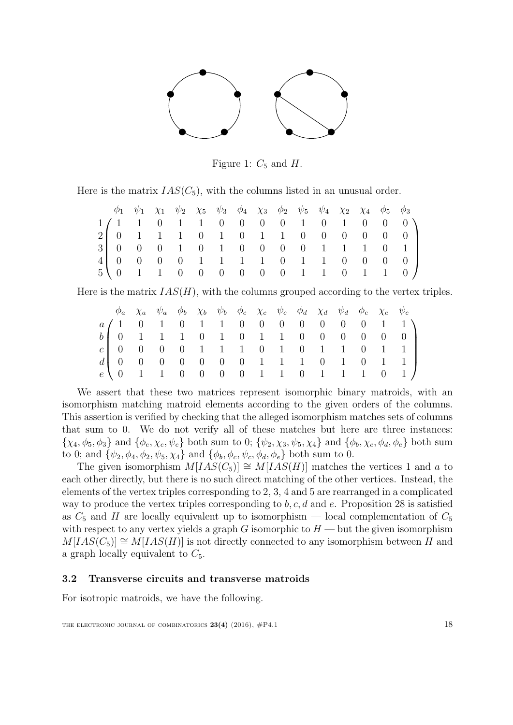

<span id="page-17-0"></span>Figure 1:  $C_5$  and  $H$ .

Here is the matrix  $IAS(C_5)$ , with the columns listed in an unusual order.

|  |  |  |  |  | $\phi_1$ $\psi_1$ $\chi_1$ $\psi_2$ $\chi_5$ $\psi_3$ $\phi_4$ $\chi_3$ $\phi_2$ $\psi_5$ $\psi_4$ $\chi_2$ $\chi_4$ $\phi_5$ $\phi_3$ |  |                                                                                         |
|--|--|--|--|--|----------------------------------------------------------------------------------------------------------------------------------------|--|-----------------------------------------------------------------------------------------|
|  |  |  |  |  |                                                                                                                                        |  | $1/1$ 1 0 1 1 0 0 0 0 1 0 1 0 0 0 $\big)$                                               |
|  |  |  |  |  |                                                                                                                                        |  | $2 \begin{bmatrix} 0 & 1 & 1 & 1 & 0 & 1 & 0 & 1 & 1 & 0 & 0 & 0 & 0 & 0 \end{bmatrix}$ |
|  |  |  |  |  |                                                                                                                                        |  | $3 \ 0 \ 0 \ 0 \ 1 \ 0 \ 1 \ 0 \ 0 \ 0 \ 0 \ 1 \ 1 \ 1 \ 0 \ 1$                         |
|  |  |  |  |  |                                                                                                                                        |  | 4 0 0 0 0 1 1 1 1 0 1 1 0 0 0 0                                                         |
|  |  |  |  |  |                                                                                                                                        |  | $5 \ (0 \ 1 \ 1 \ 0 \ 0 \ 0 \ 0 \ 0 \ 0 \ 1 \ 1 \ 0 \ 1 \ 1 \ 0)$                       |

Here is the matrix  $IAS(H)$ , with the columns grouped according to the vertex triples.

|  | $\phi_a$ $\chi_a$ $\psi_a$ $\phi_b$ $\chi_b$ $\psi_b$ $\phi_c$ $\chi_c$ $\psi_c$ $\phi_d$ $\chi_d$ $\psi_d$ $\phi_e$ $\chi_e$ $\psi_e$ |  |  |  |  |  |                                                                                                                     |
|--|----------------------------------------------------------------------------------------------------------------------------------------|--|--|--|--|--|---------------------------------------------------------------------------------------------------------------------|
|  |                                                                                                                                        |  |  |  |  |  | $a/1$ 0 1 0 1 1 0 0 0 0 0 0 0 1 1                                                                                   |
|  |                                                                                                                                        |  |  |  |  |  | $b \begin{bmatrix} 0 & 1 & 1 & 1 & 0 & 1 & 0 & 1 & 1 & 0 & 0 & 0 & 0 & 0 \end{bmatrix}$                             |
|  |                                                                                                                                        |  |  |  |  |  | $c \begin{bmatrix} 0 & 0 & 0 & 0 & 1 & 1 & 1 & 0 & 1 & 0 & 1 & 1 & 0 & 1 & 1 \end{bmatrix}$                         |
|  |                                                                                                                                        |  |  |  |  |  | $d \begin{bmatrix} 0 & 0 & 0 & 0 & 0 & 0 & 0 & 1 & 1 & 1 & 0 & 1 & 0 & 1 & 1 \end{bmatrix}$                         |
|  |                                                                                                                                        |  |  |  |  |  | $e \{ 0 \quad 1 \quad 1 \quad 0 \quad 0 \quad 0 \quad 0 \quad 1 \quad 1 \quad 0 \quad 1 \quad 1 \quad 0 \quad 1 \}$ |

We assert that these two matrices represent isomorphic binary matroids, with an isomorphism matching matroid elements according to the given orders of the columns. This assertion is verified by checking that the alleged isomorphism matches sets of columns that sum to 0. We do not verify all of these matches but here are three instances:  $\{\chi_4, \phi_5, \phi_3\}$  and  $\{\phi_e, \chi_e, \psi_e\}$  both sum to 0;  $\{\psi_2, \chi_3, \psi_5, \chi_4\}$  and  $\{\phi_b, \chi_c, \phi_d, \phi_e\}$  both sum to 0; and  $\{\psi_2, \phi_4, \phi_2, \psi_5, \chi_4\}$  and  $\{\phi_b, \phi_c, \psi_c, \phi_d, \phi_e\}$  both sum to 0.

The given isomorphism  $M[IAS(C_5)] \cong M[IAS(H)]$  matches the vertices 1 and a to each other directly, but there is no such direct matching of the other vertices. Instead, the elements of the vertex triples corresponding to 2, 3, 4 and 5 are rearranged in a complicated way to produce the vertex triples corresponding to  $b, c, d$  and  $e$ . Proposition [28](#page-16-1) is satisfied as  $C_5$  and H are locally equivalent up to isomorphism — local complementation of  $C_5$ with respect to any vertex yields a graph G isomorphic to  $H$  — but the given isomorphism  $M[IAS(C_5)] \cong M[IAS(H)]$  is not directly connected to any isomorphism between H and a graph locally equivalent to  $C_5$ .

### 3.2 Transverse circuits and transverse matroids

For isotropic matroids, we have the following.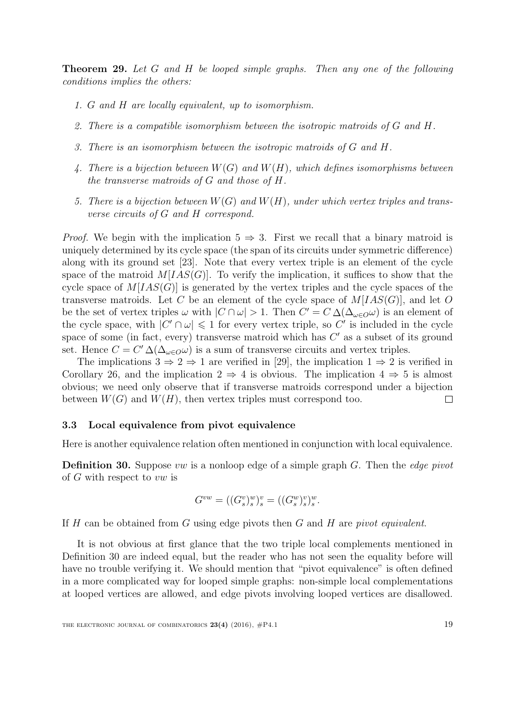<span id="page-18-1"></span>Theorem 29. Let G and H be looped simple graphs. Then any one of the following conditions implies the others:

- 1. G and H are locally equivalent, up to isomorphism.
- 2. There is a compatible isomorphism between the isotropic matroids of G and H.
- 3. There is an isomorphism between the isotropic matroids of G and H.
- 4. There is a bijection between  $W(G)$  and  $W(H)$ , which defines isomorphisms between the transverse matroids of G and those of H.
- 5. There is a bijection between  $W(G)$  and  $W(H)$ , under which vertex triples and transverse circuits of G and H correspond.

*Proof.* We begin with the implication  $5 \Rightarrow 3$ . First we recall that a binary matroid is uniquely determined by its cycle space (the span of its circuits under symmetric difference) along with its ground set [\[23\]](#page-39-7). Note that every vertex triple is an element of the cycle space of the matroid  $M[IAS(G)]$ . To verify the implication, it suffices to show that the cycle space of  $M[IAS(G)]$  is generated by the vertex triples and the cycle spaces of the transverse matroids. Let C be an element of the cycle space of  $M[IAS(G)]$ , and let O be the set of vertex triples  $\omega$  with  $|C \cap \omega| > 1$ . Then  $C' = C \Delta(\Delta_{\omega \in O} \omega)$  is an element of the cycle space, with  $|C' \cap \omega| \leq 1$  for every vertex triple, so C' is included in the cycle space of some (in fact, every) transverse matroid which has  $C'$  as a subset of its ground set. Hence  $C = C' \Delta(\Delta_{\omega \in O} \omega)$  is a sum of transverse circuits and vertex triples.

The implications  $3 \Rightarrow 2 \Rightarrow 1$  are verified in [\[29\]](#page-40-0), the implication  $1 \Rightarrow 2$  is verified in Corollary [26,](#page-16-0) and the implication  $2 \Rightarrow 4$  is obvious. The implication  $4 \Rightarrow 5$  is almost obvious; we need only observe that if transverse matroids correspond under a bijection between  $W(G)$  and  $W(H)$ , then vertex triples must correspond too.  $\Box$ 

#### 3.3 Local equivalence from pivot equivalence

Here is another equivalence relation often mentioned in conjunction with local equivalence.

<span id="page-18-0"></span>**Definition 30.** Suppose vw is a nonloop edge of a simple graph  $G$ . Then the *edge pivot* of G with respect to vw is

$$
G^{vw} = ((G_s^v)_s^w)_s^v = ((G_s^w)_s^v)_s^w.
$$

If H can be obtained from G using edge pivots then G and H are pivot equivalent.

It is not obvious at first glance that the two triple local complements mentioned in Definition [30](#page-18-0) are indeed equal, but the reader who has not seen the equality before will have no trouble verifying it. We should mention that "pivot equivalence" is often defined in a more complicated way for looped simple graphs: non-simple local complementations at looped vertices are allowed, and edge pivots involving looped vertices are disallowed.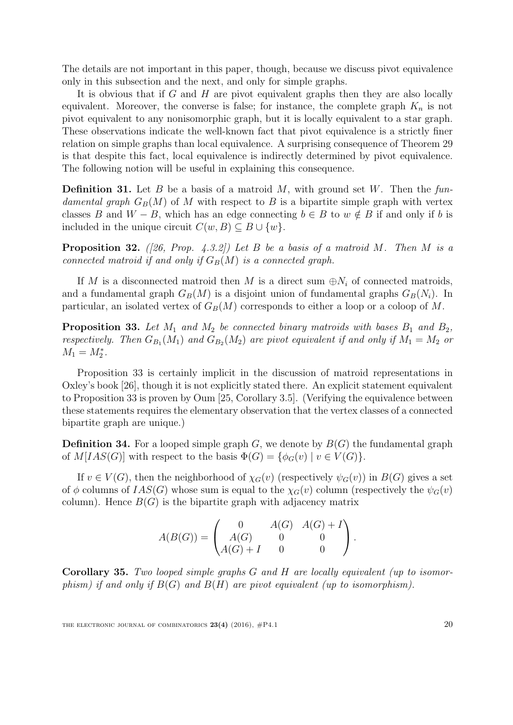The details are not important in this paper, though, because we discuss pivot equivalence only in this subsection and the next, and only for simple graphs.

It is obvious that if  $G$  and  $H$  are pivot equivalent graphs then they are also locally equivalent. Moreover, the converse is false; for instance, the complete graph  $K_n$  is not pivot equivalent to any nonisomorphic graph, but it is locally equivalent to a star graph. These observations indicate the well-known fact that pivot equivalence is a strictly finer relation on simple graphs than local equivalence. A surprising consequence of Theorem [29](#page-18-1) is that despite this fact, local equivalence is indirectly determined by pivot equivalence. The following notion will be useful in explaining this consequence.

**Definition 31.** Let B be a basis of a matroid M, with ground set W. Then the fundamental graph  $G_B(M)$  of M with respect to B is a bipartite simple graph with vertex classes B and  $W - B$ , which has an edge connecting  $b \in B$  to  $w \notin B$  if and only if b is included in the unique circuit  $C(w, B) \subseteq B \cup \{w\}.$ 

**Proposition 32.** ([\[26,](#page-40-1) Prop. 4.3.2]) Let B be a basis of a matroid M. Then M is a connected matroid if and only if  $G_B(M)$  is a connected graph.

If M is a disconnected matroid then M is a direct sum  $\oplus N_i$  of connected matroids, and a fundamental graph  $G_B(M)$  is a disjoint union of fundamental graphs  $G_B(N_i)$ . In particular, an isolated vertex of  $G_B(M)$  corresponds to either a loop or a coloop of M.

<span id="page-19-0"></span>**Proposition 33.** Let  $M_1$  and  $M_2$  be connected binary matroids with bases  $B_1$  and  $B_2$ , respectively. Then  $G_{B_1}(M_1)$  and  $G_{B_2}(M_2)$  are pivot equivalent if and only if  $M_1 = M_2$  or  $M_1 = M_2^*$ .

Proposition [33](#page-19-0) is certainly implicit in the discussion of matroid representations in Oxley's book [\[26\]](#page-40-1), though it is not explicitly stated there. An explicit statement equivalent to Proposition [33](#page-19-0) is proven by Oum [\[25,](#page-40-3) Corollary 3.5]. (Verifying the equivalence between these statements requires the elementary observation that the vertex classes of a connected bipartite graph are unique.)

**Definition 34.** For a looped simple graph  $G$ , we denote by  $B(G)$  the fundamental graph of  $M[IAS(G)]$  with respect to the basis  $\Phi(G) = {\phi_G(v) \mid v \in V(G)}$ .

If  $v \in V(G)$ , then the neighborhood of  $\chi_G(v)$  (respectively  $\psi_G(v)$ ) in  $B(G)$  gives a set of  $\phi$  columns of  $IAS(G)$  whose sum is equal to the  $\chi_G(v)$  column (respectively the  $\psi_G(v)$ ) column). Hence  $B(G)$  is the bipartite graph with adjacency matrix

$$
A(B(G)) = \begin{pmatrix} 0 & A(G) & A(G) + I \\ A(G) & 0 & 0 \\ A(G) + I & 0 & 0 \end{pmatrix}.
$$

Corollary 35. Two looped simple graphs G and H are locally equivalent (up to isomorphism) if and only if  $B(G)$  and  $B(H)$  are pivot equivalent (up to isomorphism).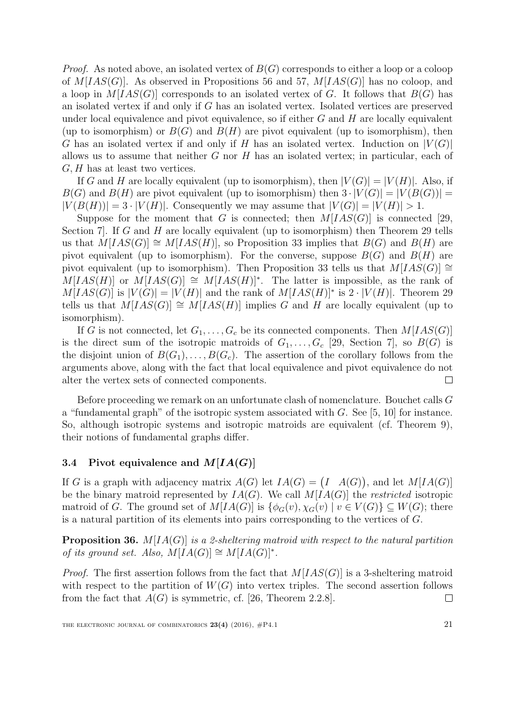*Proof.* As noted above, an isolated vertex of  $B(G)$  corresponds to either a loop or a coloop of  $M[IAS(G)]$ . As observed in Propositions [56](#page-32-1) and [57,](#page-33-0)  $M[IAS(G)]$  has no coloop, and a loop in  $M[IAS(G)]$  corresponds to an isolated vertex of G. It follows that  $B(G)$  has an isolated vertex if and only if G has an isolated vertex. Isolated vertices are preserved under local equivalence and pivot equivalence, so if either  $G$  and  $H$  are locally equivalent (up to isomorphism) or  $B(G)$  and  $B(H)$  are pivot equivalent (up to isomorphism), then G has an isolated vertex if and only if H has an isolated vertex. Induction on  $|V(G)|$ allows us to assume that neither  $G$  nor  $H$  has an isolated vertex; in particular, each of  $G, H$  has at least two vertices.

If G and H are locally equivalent (up to isomorphism), then  $|V(G)| = |V(H)|$ . Also, if  $B(G)$  and  $B(H)$  are pivot equivalent (up to isomorphism) then  $3 \cdot |V(G)| = |V(B(G))|$  $|V(B(H))|=3\cdot |V(H)|$ . Consequently we may assume that  $|V(G)|=|V(H)|>1$ .

Suppose for the moment that G is connected; then  $M[IAS(G)]$  is connected [\[29,](#page-40-0) Section 7. If G and H are locally equivalent (up to isomorphism) then Theorem [29](#page-18-1) tells us that  $M[IAS(G)] \cong M[IAS(H)]$ , so Proposition [33](#page-19-0) implies that  $B(G)$  and  $B(H)$  are pivot equivalent (up to isomorphism). For the converse, suppose  $B(G)$  and  $B(H)$  are pivot equivalent (up to isomorphism). Then Proposition [33](#page-19-0) tells us that  $M[IAS(G)] \cong$  $M[IAS(H)]$  or  $M[IAS(G)] \cong M[IAS(H)]^*$ . The latter is impossible, as the rank of  $M[IAS(G)]$  is  $|V(G)| = |V(H)|$  and the rank of  $M[IAS(H)]^*$  is  $2 \cdot |V(H)|$ . Theorem [29](#page-18-1) tells us that  $M[IAS(G)] \cong M[IAS(H)]$  implies G and H are locally equivalent (up to isomorphism).

If G is not connected, let  $G_1, \ldots, G_c$  be its connected components. Then  $M[IAS(G)]$ is the direct sum of the isotropic matroids of  $G_1, \ldots, G_c$  [\[29,](#page-40-0) Section 7], so  $B(G)$  is the disjoint union of  $B(G_1), \ldots, B(G_c)$ . The assertion of the corollary follows from the arguments above, along with the fact that local equivalence and pivot equivalence do not alter the vertex sets of connected components.  $\Box$ 

Before proceeding we remark on an unfortunate clash of nomenclature. Bouchet calls G a "fundamental graph" of the isotropic system associated with  $G$ . See [\[5,](#page-38-3) [10\]](#page-39-0) for instance. So, although isotropic systems and isotropic matroids are equivalent (cf. Theorem [9\)](#page-5-0), their notions of fundamental graphs differ.

## 3.4 Pivot equivalence and  $M[IA(G)]$

If G is a graph with adjacency matrix  $A(G)$  let  $IA(G) = (I \ A(G))$ , and let  $M[IA(G)]$ be the binary matroid represented by  $IA(G)$ . We call  $M[IA(G)]$  the *restricted* isotropic matroid of G. The ground set of  $M[IA(G)]$  is  $\{\phi_G(v), \chi_G(v) \mid v \in V(G)\} \subseteq W(G)$ ; there is a natural partition of its elements into pairs corresponding to the vertices of G.

**Proposition 36.**  $M[A(G)]$  is a 2-sheltering matroid with respect to the natural partition of its ground set. Also,  $M[IA(G)] \cong M[IA(G)]^*$ .

*Proof.* The first assertion follows from the fact that  $M[IAS(G)]$  is a 3-sheltering matroid with respect to the partition of  $W(G)$  into vertex triples. The second assertion follows from the fact that  $A(G)$  is symmetric, cf. [\[26,](#page-40-1) Theorem 2.2.8].  $\Box$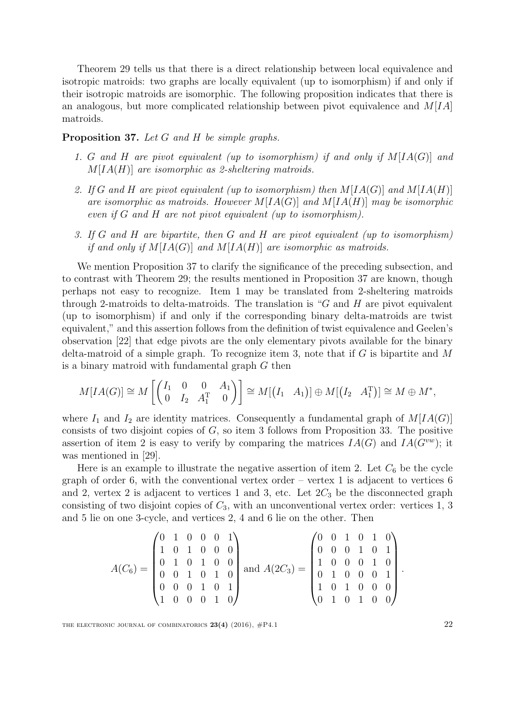Theorem [29](#page-18-1) tells us that there is a direct relationship between local equivalence and isotropic matroids: two graphs are locally equivalent (up to isomorphism) if and only if their isotropic matroids are isomorphic. The following proposition indicates that there is an analogous, but more complicated relationship between pivot equivalence and  $M[IA]$ matroids.

### <span id="page-21-0"></span>Proposition 37. Let G and H be simple graphs.

- 1. G and H are pivot equivalent (up to isomorphism) if and only if  $M[IA(G)]$  and  $M[IA(H)]$  are isomorphic as 2-sheltering matroids.
- 2. If G and H are pivot equivalent (up to isomorphism) then  $M[IA(G)]$  and  $M[IA(H)]$ are isomorphic as matroids. However  $M[IA(G)]$  and  $M[IA(H)]$  may be isomorphic even if G and H are not pivot equivalent (up to isomorphism).
- 3. If G and H are bipartite, then G and H are pivot equivalent (up to isomorphism) if and only if  $M[IA(G)]$  and  $M[IA(H)]$  are isomorphic as matroids.

We mention Proposition [37](#page-21-0) to clarify the significance of the preceding subsection, and to contrast with Theorem [29;](#page-18-1) the results mentioned in Proposition [37](#page-21-0) are known, though perhaps not easy to recognize. Item 1 may be translated from 2-sheltering matroids through 2-matroids to delta-matroids. The translation is "G and H are pivot equivalent (up to isomorphism) if and only if the corresponding binary delta-matroids are twist equivalent," and this assertion follows from the definition of twist equivalence and Geelen's observation [\[22\]](#page-39-8) that edge pivots are the only elementary pivots available for the binary delta-matroid of a simple graph. To recognize item 3, note that if  $G$  is bipartite and  $M$ is a binary matroid with fundamental graph G then

$$
M[IA(G)] \cong M\left[\begin{pmatrix}I_1 & 0 & 0 & A_1 \ 0 & I_2 & A_1^{\mathrm{T}} & 0\end{pmatrix}\right] \cong M[(I_1 \ A_1)] \oplus M[(I_2 \ A_1^{\mathrm{T}})] \cong M \oplus M^*,
$$

where  $I_1$  and  $I_2$  are identity matrices. Consequently a fundamental graph of  $M[IA(G)]$ consists of two disjoint copies of  $G$ , so item 3 follows from Proposition [33.](#page-19-0) The positive assertion of item 2 is easy to verify by comparing the matrices  $IA(G)$  and  $IA(G^{vw})$ ; it was mentioned in [\[29\]](#page-40-0).

Here is an example to illustrate the negative assertion of item 2. Let  $C_6$  be the cycle graph of order 6, with the conventional vertex order – vertex 1 is adjacent to vertices  $6$ and 2, vertex 2 is adjacent to vertices 1 and 3, etc. Let  $2C_3$  be the disconnected graph consisting of two disjoint copies of  $C_3$ , with an unconventional vertex order: vertices 1, 3 and 5 lie on one 3-cycle, and vertices 2, 4 and 6 lie on the other. Then

$$
A(C_6) = \begin{pmatrix} 0 & 1 & 0 & 0 & 0 & 1 \\ 1 & 0 & 1 & 0 & 0 & 0 \\ 0 & 1 & 0 & 1 & 0 & 0 \\ 0 & 0 & 1 & 0 & 1 & 0 \\ 0 & 0 & 0 & 1 & 0 & 1 \\ 1 & 0 & 0 & 0 & 1 & 0 \end{pmatrix} \text{ and } A(2C_3) = \begin{pmatrix} 0 & 0 & 1 & 0 & 1 & 0 \\ 0 & 0 & 0 & 1 & 0 & 1 \\ 1 & 0 & 0 & 0 & 1 & 0 \\ 0 & 1 & 0 & 0 & 0 & 1 \\ 0 & 1 & 0 & 1 & 0 & 0 \end{pmatrix}.
$$

THE ELECTRONIC JOURNAL OF COMBINATORICS  $23(4)$  (2016),  $\#P4.1$  22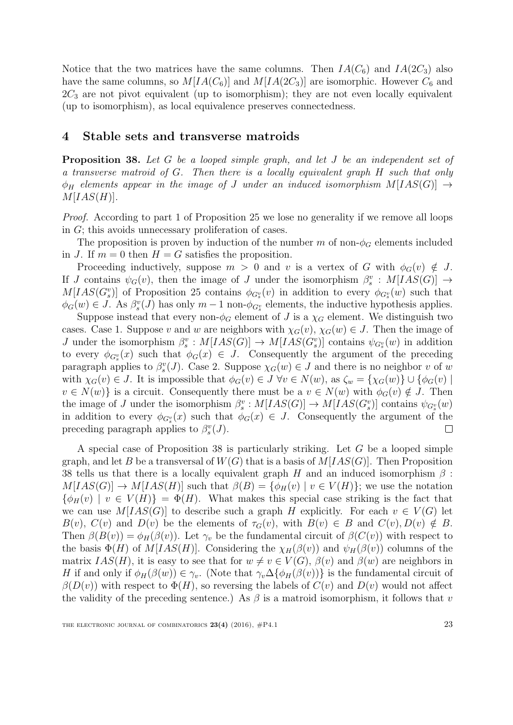Notice that the two matrices have the same columns. Then  $IA(C_6)$  and  $IA(2C_3)$  also have the same columns, so  $M[IA(C_6)]$  and  $M[IA(2C_3)]$  are isomorphic. However  $C_6$  and  $2C_3$  are not pivot equivalent (up to isomorphism); they are not even locally equivalent (up to isomorphism), as local equivalence preserves connectedness.

### 4 Stable sets and transverse matroids

<span id="page-22-0"></span>Proposition 38. Let G be a looped simple graph, and let J be an independent set of a transverse matroid of G. Then there is a locally equivalent graph H such that only  $\phi_H$  elements appear in the image of J under an induced isomorphism  $M[IAS(G)] \rightarrow$  $M[IAS(H)].$ 

Proof. According to part 1 of Proposition [25](#page-15-1) we lose no generality if we remove all loops in G; this avoids unnecessary proliferation of cases.

The proposition is proven by induction of the number m of non- $\phi_G$  elements included in J. If  $m = 0$  then  $H = G$  satisfies the proposition.

Proceeding inductively, suppose  $m > 0$  and v is a vertex of G with  $\phi_G(v) \notin J$ . If J contains  $\psi_G(v)$ , then the image of J under the isomorphism  $\beta_s^v : M[IAS(G)] \rightarrow$  $M[IAS(G<sub>s</sub><sup>v</sup>)]$  of Proposition [25](#page-15-1) contains  $\phi_{G_s^v}(v)$  in addition to every  $\phi_{G_s^v}(w)$  such that  $\phi_G(w) \in J$ . As  $\beta_s^v(J)$  has only  $m-1$  non- $\phi_{G_s^v}$  elements, the inductive hypothesis applies.

Suppose instead that every non- $\phi_G$  element of J is a  $\chi_G$  element. We distinguish two cases. Case 1. Suppose v and w are neighbors with  $\chi_G(v)$ ,  $\chi_G(w) \in J$ . Then the image of J under the isomorphism  $\beta_s^v : M[IAS(G)] \to M[IAS(G_s^v)]$  contains  $\psi_{G_s^v}(w)$  in addition to every  $\phi_{G_s^v}(x)$  such that  $\phi_G(x) \in J$ . Consequently the argument of the preceding paragraph applies to  $\beta_s^v(J)$ . Case 2. Suppose  $\chi_G(w) \in J$  and there is no neighbor v of w with  $\chi_G(v) \in J$ . It is impossible that  $\phi_G(v) \in J \ \forall v \in N(w)$ , as  $\zeta_w = {\chi_G(w)} \cup {\phi_G(v)}$  $v \in N(w)$  is a circuit. Consequently there must be a  $v \in N(w)$  with  $\phi_G(v) \notin J$ . Then the image of J under the isomorphism  $\beta_s^v : M[IAS(G)] \to M[IAS(G_s^v)]$  contains  $\psi_{G_s^v}(w)$ in addition to every  $\phi_{G_s^v}(x)$  such that  $\phi_G(x) \in J$ . Consequently the argument of the preceding paragraph applies to  $\beta_s^v(J)$ .  $\Box$ 

A special case of Proposition [38](#page-22-0) is particularly striking. Let G be a looped simple graph, and let B be a transversal of  $W(G)$  that is a basis of  $M[IAS(G)]$ . Then Proposition [38](#page-22-0) tells us that there is a locally equivalent graph H and an induced isomorphism  $\beta$ :  $M[IAS(G)] \rightarrow M[IAS(H)]$  such that  $\beta(B) = {\phi_H(v) | v \in V(H)}$ ; we use the notation  ${\phi_H(v) \mid v \in V(H)} = {\Phi(H)}$ . What makes this special case striking is the fact that we can use  $M[IAS(G)]$  to describe such a graph H explicitly. For each  $v \in V(G)$  let  $B(v)$ ,  $C(v)$  and  $D(v)$  be the elements of  $\tau_G(v)$ , with  $B(v) \in B$  and  $C(v)$ ,  $D(v) \notin B$ . Then  $\beta(B(v)) = \phi_H(\beta(v))$ . Let  $\gamma_v$  be the fundamental circuit of  $\beta(C(v))$  with respect to the basis  $\Phi(H)$  of  $M[IAS(H)]$ . Considering the  $\chi_H(\beta(v))$  and  $\psi_H(\beta(v))$  columns of the matrix  $IAS(H)$ , it is easy to see that for  $w \neq v \in V(G)$ ,  $\beta(v)$  and  $\beta(w)$  are neighbors in H if and only if  $\phi_H(\beta(w)) \in \gamma_v$ . (Note that  $\gamma_v \Delta \{\phi_H(\beta(v))\}$  is the fundamental circuit of  $\beta(D(v))$  with respect to  $\Phi(H)$ , so reversing the labels of  $C(v)$  and  $D(v)$  would not affect the validity of the preceding sentence.) As  $\beta$  is a matroid isomorphism, it follows that v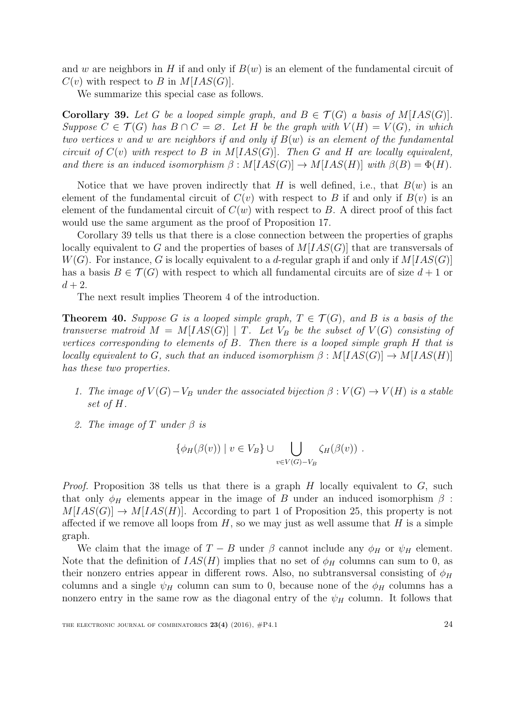and w are neighbors in H if and only if  $B(w)$  is an element of the fundamental circuit of  $C(v)$  with respect to B in  $M[IAS(G)].$ 

We summarize this special case as follows.

<span id="page-23-0"></span>**Corollary 39.** Let G be a looped simple graph, and  $B \in \mathcal{T}(G)$  a basis of  $M[IAS(G)]$ . Suppose  $C \in \mathcal{T}(G)$  has  $B \cap C = \emptyset$ . Let H be the graph with  $V(H) = V(G)$ , in which two vertices v and w are neighbors if and only if  $B(w)$  is an element of the fundamental circuit of  $C(v)$  with respect to B in  $M[IAS(G)]$ . Then G and H are locally equivalent, and there is an induced isomorphism  $\beta : M[IAS(G)] \to M[IAS(H)]$  with  $\beta(B) = \Phi(H)$ .

Notice that we have proven indirectly that H is well defined, i.e., that  $B(w)$  is an element of the fundamental circuit of  $C(v)$  with respect to B if and only if  $B(v)$  is an element of the fundamental circuit of  $C(w)$  with respect to B. A direct proof of this fact would use the same argument as the proof of Proposition [17.](#page-10-0)

Corollary [39](#page-23-0) tells us that there is a close connection between the properties of graphs locally equivalent to G and the properties of bases of  $M[IAS(G)]$  that are transversals of  $W(G)$ . For instance, G is locally equivalent to a d-regular graph if and only if  $M[IAS(G)]$ has a basis  $B \in \mathcal{T}(G)$  with respect to which all fundamental circuits are of size  $d+1$  or  $d+2$ .

The next result implies Theorem [4](#page-3-0) of the introduction.

<span id="page-23-1"></span>**Theorem 40.** Suppose G is a looped simple graph,  $T \in \mathcal{T}(G)$ , and B is a basis of the transverse matroid  $M = M[IAS(G)]$  | T. Let  $V_B$  be the subset of  $V(G)$  consisting of vertices corresponding to elements of B. Then there is a looped simple graph H that is locally equivalent to G, such that an induced isomorphism  $\beta : M[IAS(G)] \rightarrow M[IAS(H)]$ has these two properties.

- 1. The image of  $V(G)-V_B$  under the associated bijection  $\beta : V(G) \to V(H)$  is a stable set of H.
- 2. The image of T under  $\beta$  is

$$
\{\phi_H(\beta(v)) \mid v \in V_B\} \cup \bigcup_{v \in V(G)-V_B} \zeta_H(\beta(v)) \ .
$$

*Proof.* Proposition [38](#page-22-0) tells us that there is a graph  $H$  locally equivalent to  $G$ , such that only  $\phi_H$  elements appear in the image of B under an induced isomorphism  $\beta$ :  $M[IAS(G)] \rightarrow M[IAS(H)]$ . According to part 1 of Proposition [25,](#page-15-1) this property is not affected if we remove all loops from  $H$ , so we may just as well assume that  $H$  is a simple graph.

We claim that the image of  $T - B$  under  $\beta$  cannot include any  $\phi_H$  or  $\psi_H$  element. Note that the definition of  $IAS(H)$  implies that no set of  $\phi_H$  columns can sum to 0, as their nonzero entries appear in different rows. Also, no subtransversal consisting of  $\phi_H$ columns and a single  $\psi_H$  column can sum to 0, because none of the  $\phi_H$  columns has a nonzero entry in the same row as the diagonal entry of the  $\psi_H$  column. It follows that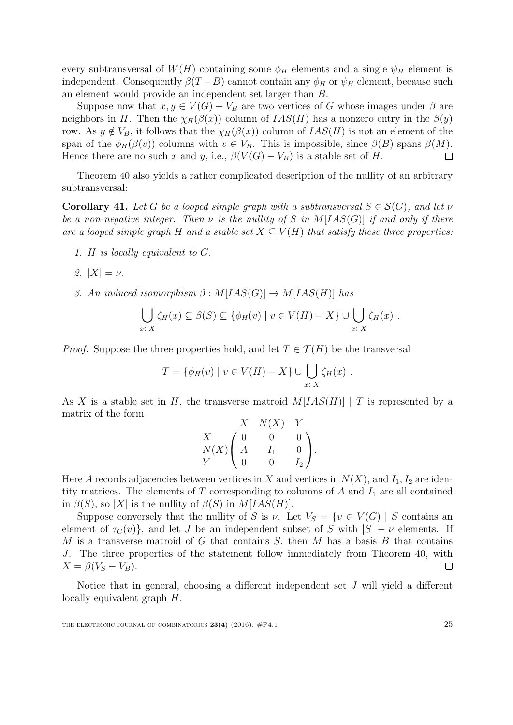every subtransversal of  $W(H)$  containing some  $\phi_H$  elements and a single  $\psi_H$  element is independent. Consequently  $\beta(T-B)$  cannot contain any  $\phi_H$  or  $\psi_H$  element, because such an element would provide an independent set larger than B.

Suppose now that  $x, y \in V(G) - V_B$  are two vertices of G whose images under  $\beta$  are neighbors in H. Then the  $\chi_H(\beta(x))$  column of  $IAS(H)$  has a nonzero entry in the  $\beta(y)$ row. As  $y \notin V_B$ , it follows that the  $\chi_H(\beta(x))$  column of  $IAS(H)$  is not an element of the span of the  $\phi_H(\beta(v))$  columns with  $v \in V_B$ . This is impossible, since  $\beta(B)$  spans  $\beta(M)$ . Hence there are no such x and y, i.e.,  $\beta(V(G) - V_B)$  is a stable set of H.  $\Box$ 

Theorem [40](#page-23-1) also yields a rather complicated description of the nullity of an arbitrary subtransversal:

<span id="page-24-0"></span>**Corollary 41.** Let G be a looped simple graph with a subtransversal  $S \in \mathcal{S}(G)$ , and let v be a non-negative integer. Then  $\nu$  is the nullity of S in M[IAS(G)] if and only if there are a looped simple graph H and a stable set  $X \subseteq V(H)$  that satisfy these three properties:

- 1. H is locally equivalent to G.
- 2.  $|X| = \nu$ .
- 3. An induced isomorphism  $\beta : M[IAS(G)] \rightarrow M[IAS(H)]$  has

$$
\bigcup_{x \in X} \zeta_H(x) \subseteq \beta(S) \subseteq \{ \phi_H(v) \mid v \in V(H) - X \} \cup \bigcup_{x \in X} \zeta_H(x) .
$$

*Proof.* Suppose the three properties hold, and let  $T \in \mathcal{T}(H)$  be the transversal

$$
T = \{ \phi_H(v) \mid v \in V(H) - X \} \cup \bigcup_{x \in X} \zeta_H(x) .
$$

As X is a stable set in H, the transverse matroid  $M[IAS(H)] | T$  is represented by a matrix of the form

$$
\begin{array}{ccc}\n & X & N(X) & Y \\
X & 0 & 0 & 0 \\
N(X) & A & I_1 & 0 \\
Y & 0 & 0 & I_2\n\end{array}
$$

Here A records adjacencies between vertices in X and vertices in  $N(X)$ , and  $I_1, I_2$  are identity matrices. The elements of  $T$  corresponding to columns of  $A$  and  $I_1$  are all contained in  $\beta(S)$ , so |X| is the nullity of  $\beta(S)$  in  $M[IAS(H)]$ .

Suppose conversely that the nullity of S is  $\nu$ . Let  $V_S = \{v \in V(G) \mid S \text{ contains an }$ element of  $\tau_G(v)$ , and let J be an independent subset of S with  $|S| - \nu$  elements. If  $M$  is a transverse matroid of  $G$  that contains  $S$ , then  $M$  has a basis  $B$  that contains J. The three properties of the statement follow immediately from Theorem [40,](#page-23-1) with  $X = \beta(V_S - V_B).$  $\Box$ 

Notice that in general, choosing a different independent set  $J$  will yield a different locally equivalent graph H.

THE ELECTRONIC JOURNAL OF COMBINATORICS  $23(4)$  (2016),  $\#P4.1$  25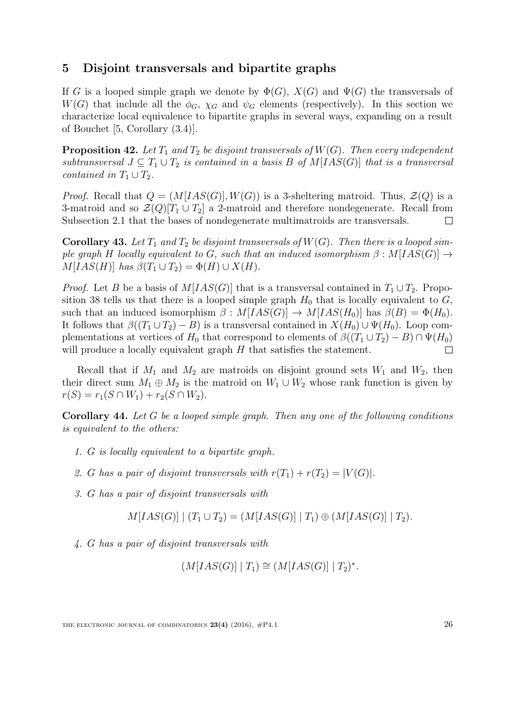# <span id="page-25-0"></span>5 Disjoint transversals and bipartite graphs

If G is a looped simple graph we denote by  $\Phi(G)$ ,  $X(G)$  and  $\Psi(G)$  the transversals of  $W(G)$  that include all the  $\phi_G$ ,  $\chi_G$  and  $\psi_G$  elements (respectively). In this section we characterize local equivalence to bipartite graphs in several ways, expanding on a result of Bouchet [\[5,](#page-38-3) Corollary (3.4)].

<span id="page-25-1"></span>**Proposition 42.** Let  $T_1$  and  $T_2$  be disjoint transversals of  $W(G)$ . Then every independent subtransversal  $J \subseteq T_1 \cup T_2$  is contained in a basis B of  $M[IAS(G)]$  that is a transversal contained in  $T_1 \cup T_2$ .

*Proof.* Recall that  $Q = (M[IAS(G)], W(G))$  is a 3-sheltering matroid. Thus,  $\mathcal{Z}(Q)$  is a 3-matroid and so  $\mathcal{Z}(Q)[T_1 \cup T_2]$  a 2-matroid and therefore nondegenerate. Recall from Subsection [2.1](#page-6-1) that the bases of nondegenerate multimatroids are transversals.  $\Box$ 

**Corollary 43.** Let  $T_1$  and  $T_2$  be disjoint transversals of  $W(G)$ . Then there is a looped simple graph H locally equivalent to G, such that an induced isomorphism  $\beta : M[IAS(G)] \rightarrow$  $M[IAS(H)]$  has  $\beta(T_1 \cup T_2) = \Phi(H) \cup X(H)$ .

*Proof.* Let B be a basis of  $M[IAS(G)]$  that is a transversal contained in  $T_1 \cup T_2$ . Propo-sition [38](#page-22-0) tells us that there is a looped simple graph  $H_0$  that is locally equivalent to  $G$ , such that an induced isomorphism  $\beta$  :  $M[IAS(G)] \rightarrow M[IAS(H_0)]$  has  $\beta(B) = \Phi(H_0)$ . It follows that  $\beta((T_1 \cup T_2) - B)$  is a transversal contained in  $X(H_0) \cup \Psi(H_0)$ . Loop complementations at vertices of  $H_0$  that correspond to elements of  $\beta((T_1 \cup T_2) - B) \cap \Psi(H_0)$ will produce a locally equivalent graph H that satisfies the statement.  $\Box$ 

Recall that if  $M_1$  and  $M_2$  are matroids on disjoint ground sets  $W_1$  and  $W_2$ , then their direct sum  $M_1 \oplus M_2$  is the matroid on  $W_1 \cup W_2$  whose rank function is given by  $r(S) = r_1(S \cap W_1) + r_2(S \cap W_2).$ 

<span id="page-25-2"></span>Corollary 44. Let G be a looped simple graph. Then any one of the following conditions is equivalent to the others:

- 1. G is locally equivalent to a bipartite graph.
- 2. G has a pair of disjoint transversals with  $r(T_1) + r(T_2) = |V(G)|$ .
- 3. G has a pair of disjoint transversals with

$$
M[IAS(G)] | (T_1 \cup T_2) = (M[IAS(G)] | T_1) \oplus (M[IAS(G)] | T_2).
$$

4. G has a pair of disjoint transversals with

$$
(M[IAS(G)] | T_1) \cong (M[IAS(G)] | T_2)^*.
$$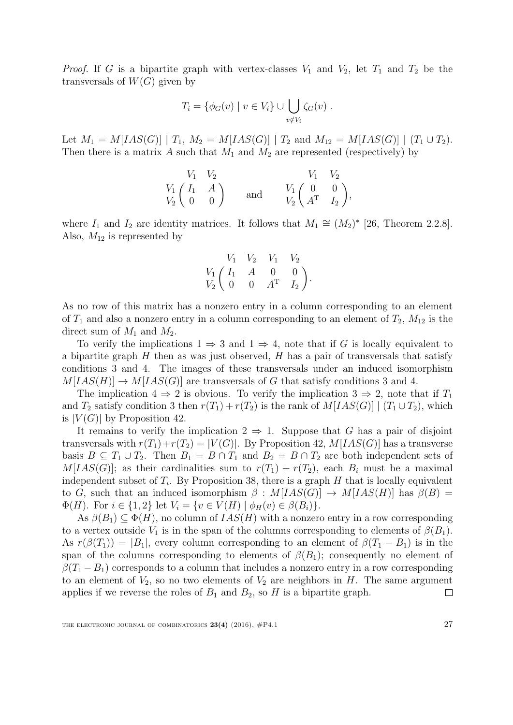*Proof.* If G is a bipartite graph with vertex-classes  $V_1$  and  $V_2$ , let  $T_1$  and  $T_2$  be the transversals of  $W(G)$  given by

$$
T_i = \{ \phi_G(v) \mid v \in V_i \} \cup \bigcup_{v \notin V_i} \zeta_G(v) .
$$

Let  $M_1 = M[IAS(G)] | T_1, M_2 = M[IAS(G)] | T_2$  and  $M_{12} = M[IAS(G)] | (T_1 \cup T_2)$ . Then there is a matrix A such that  $M_1$  and  $M_2$  are represented (respectively) by

| $V_1$ $V_2$                                          |     |                                                         | $V_1$ $V_2$ |
|------------------------------------------------------|-----|---------------------------------------------------------|-------------|
| $V_1 \begin{pmatrix} I_1 & A \\ 0 & 0 \end{pmatrix}$ | and | $V_1 \begin{pmatrix} 0 & 0 \\ A^T & I_2 \end{pmatrix},$ |             |

where  $I_1$  and  $I_2$  are identity matrices. It follows that  $M_1 \cong (M_2)^*$  [\[26,](#page-40-1) Theorem 2.2.8]. Also,  $M_{12}$  is represented by

$$
\begin{array}{ccccc}\n & V_1 & V_2 & V_1 & V_2 \\
V_1 & I_1 & A & 0 & 0 \\
V_2 & 0 & 0 & A^T & I_2\n\end{array}
$$

As no row of this matrix has a nonzero entry in a column corresponding to an element of  $T_1$  and also a nonzero entry in a column corresponding to an element of  $T_2$ ,  $M_{12}$  is the direct sum of  $M_1$  and  $M_2$ .

To verify the implications  $1 \Rightarrow 3$  and  $1 \Rightarrow 4$ , note that if G is locally equivalent to a bipartite graph  $H$  then as was just observed,  $H$  has a pair of transversals that satisfy conditions 3 and 4. The images of these transversals under an induced isomorphism  $M[IAS(H)] \rightarrow M[IAS(G)]$  are transversals of G that satisfy conditions 3 and 4.

The implication  $4 \Rightarrow 2$  is obvious. To verify the implication  $3 \Rightarrow 2$ , note that if  $T_1$ and  $T_2$  satisfy condition 3 then  $r(T_1) + r(T_2)$  is the rank of  $M[IAS(G)] | (T_1 \cup T_2)$ , which is  $|V(G)|$  by Proposition [42.](#page-25-1)

It remains to verify the implication  $2 \Rightarrow 1$ . Suppose that G has a pair of disjoint transversals with  $r(T_1)+r(T_2) = |V(G)|$ . By Proposition [42,](#page-25-1)  $M[IAS(G)]$  has a transverse basis  $B \subseteq T_1 \cup T_2$ . Then  $B_1 = B \cap T_1$  and  $B_2 = B \cap T_2$  are both independent sets of  $M[IAS(G)];$  as their cardinalities sum to  $r(T_1) + r(T_2)$ , each  $B_i$  must be a maximal independent subset of  $T_i$ . By Proposition [38,](#page-22-0) there is a graph  $H$  that is locally equivalent to G, such that an induced isomorphism  $\beta$  :  $M[IAS(G)] \rightarrow M[IAS(H)]$  has  $\beta(B)$  =  $\Phi(H)$ . For  $i \in \{1,2\}$  let  $V_i = \{v \in V(H) \mid \phi_H(v) \in \beta(B_i)\}.$ 

As  $\beta(B_1) \subseteq \Phi(H)$ , no column of  $IAS(H)$  with a nonzero entry in a row corresponding to a vertex outside  $V_1$  is in the span of the columns corresponding to elements of  $\beta(B_1)$ . As  $r(\beta(T_1)) = |B_1|$ , every column corresponding to an element of  $\beta(T_1 - B_1)$  is in the span of the columns corresponding to elements of  $\beta(B_1)$ ; consequently no element of  $\beta(T_1 - B_1)$  corresponds to a column that includes a nonzero entry in a row corresponding to an element of  $V_2$ , so no two elements of  $V_2$  are neighbors in H. The same argument applies if we reverse the roles of  $B_1$  and  $B_2$ , so H is a bipartite graph.  $\Box$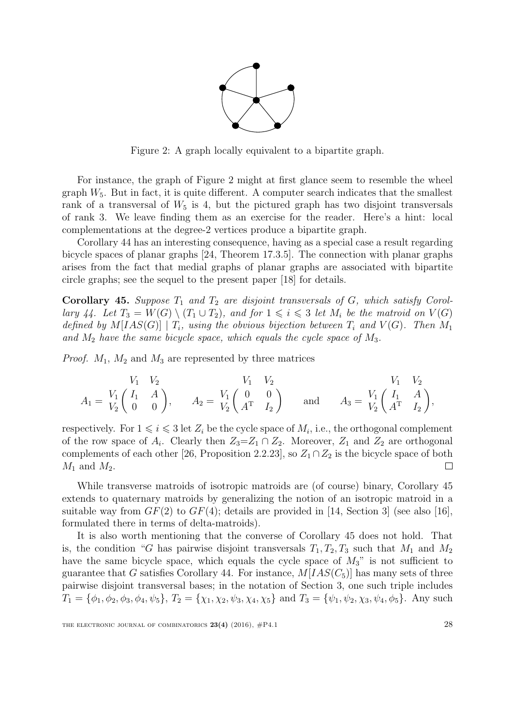

<span id="page-27-0"></span>Figure 2: A graph locally equivalent to a bipartite graph.

For instance, the graph of Figure [2](#page-27-0) might at first glance seem to resemble the wheel graph  $W_5$ . But in fact, it is quite different. A computer search indicates that the smallest rank of a transversal of  $W_5$  is 4, but the pictured graph has two disjoint transversals of rank 3. We leave finding them as an exercise for the reader. Here's a hint: local complementations at the degree-2 vertices produce a bipartite graph.

Corollary [44](#page-25-2) has an interesting consequence, having as a special case a result regarding bicycle spaces of planar graphs [\[24,](#page-40-4) Theorem 17.3.5]. The connection with planar graphs arises from the fact that medial graphs of planar graphs are associated with bipartite circle graphs; see the sequel to the present paper [\[18\]](#page-39-9) for details.

<span id="page-27-1"></span>**Corollary 45.** Suppose  $T_1$  and  $T_2$  are disjoint transversals of G, which satisfy Corol-lary [44.](#page-25-2) Let  $T_3 = W(G) \setminus (T_1 \cup T_2)$ , and for  $1 \leq i \leq 3$  let  $M_i$  be the matroid on  $V(G)$ defined by  $M[IAS(G)] | T_i$ , using the obvious bijection between  $T_i$  and  $V(G)$ . Then  $M_1$ and  $M_2$  have the same bicycle space, which equals the cycle space of  $M_3$ .

*Proof.*  $M_1$ ,  $M_2$  and  $M_3$  are represented by three matrices

$$
A_1 = \begin{array}{cc} V_1 & V_2 & V_1 & V_2 & V_1 & V_2 \\ V_1 & \begin{pmatrix} I_1 & A \\ 0 & 0 \end{pmatrix}, & A_2 = \begin{array}{cc} V_1 & \begin{pmatrix} 0 & 0 \\ A^T & I_2 \end{pmatrix} & \text{and} & A_3 = \begin{array}{cc} V_1 & \begin{pmatrix} I_1 & A \\ A^T & I_2 \end{pmatrix}, \end{array}
$$

respectively. For  $1 \leq i \leq 3$  let  $Z_i$  be the cycle space of  $M_i$ , i.e., the orthogonal complement of the row space of  $A_i$ . Clearly then  $Z_3 = Z_1 \cap Z_2$ . Moreover,  $Z_1$  and  $Z_2$  are orthogonal complements of each other [\[26,](#page-40-1) Proposition 2.2.23], so  $Z_1 \cap Z_2$  is the bicycle space of both  $M_1$  and  $M_2$ .  $\Box$ 

While transverse matroids of isotropic matroids are (of course) binary, Corollary [45](#page-27-1) extends to quaternary matroids by generalizing the notion of an isotropic matroid in a suitable way from  $GF(2)$  to  $GF(4)$ ; details are provided in [\[14,](#page-39-10) Section 3] (see also [\[16\]](#page-39-4), formulated there in terms of delta-matroids).

It is also worth mentioning that the converse of Corollary [45](#page-27-1) does not hold. That is, the condition "G has pairwise disjoint transversals  $T_1, T_2, T_3$  such that  $M_1$  and  $M_2$ have the same bicycle space, which equals the cycle space of  $M_3$ " is not sufficient to guarantee that G satisfies Corollary [44.](#page-25-2) For instance,  $M[IAS(C<sub>5</sub>)]$  has many sets of three pairwise disjoint transversal bases; in the notation of Section 3, one such triple includes  $T_1 = {\phi_1, \phi_2, \phi_3, \phi_4, \psi_5}, T_2 = {\chi_1, \chi_2, \psi_3, \chi_4, \chi_5} \text{ and } T_3 = {\psi_1, \psi_2, \chi_3, \psi_4, \phi_5}.$  Any such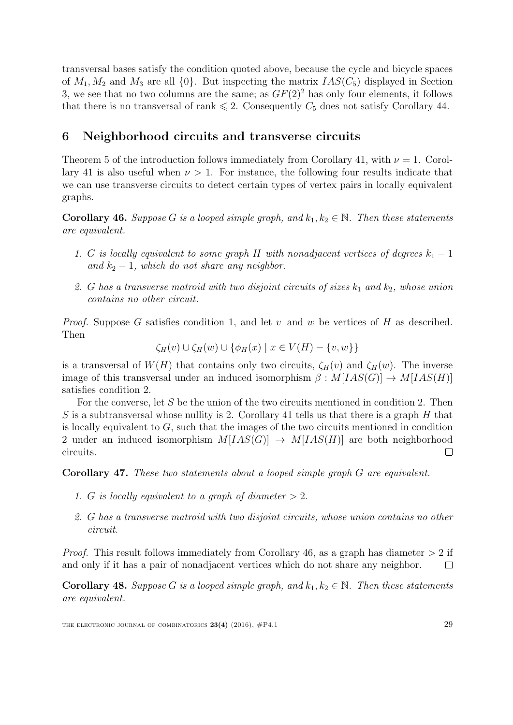transversal bases satisfy the condition quoted above, because the cycle and bicycle spaces of  $M_1, M_2$  and  $M_3$  are all  $\{0\}$ . But inspecting the matrix  $IAS(C_5)$  displayed in Section 3, we see that no two columns are the same; as  $GF(2)<sup>2</sup>$  has only four elements, it follows that there is no transversal of rank  $\leq 2$ . Consequently  $C_5$  does not satisfy Corollary [44.](#page-25-2)

# 6 Neighborhood circuits and transverse circuits

Theorem [5](#page-3-1) of the introduction follows immediately from Corollary [41,](#page-24-0) with  $\nu = 1$ . Corol-lary [41](#page-24-0) is also useful when  $\nu > 1$ . For instance, the following four results indicate that we can use transverse circuits to detect certain types of vertex pairs in locally equivalent graphs.

<span id="page-28-0"></span>**Corollary 46.** Suppose G is a looped simple graph, and  $k_1, k_2 \in \mathbb{N}$ . Then these statements are equivalent.

- 1. G is locally equivalent to some graph H with nonadjacent vertices of degrees  $k_1 1$ and  $k_2 - 1$ , which do not share any neighbor.
- 2. G has a transverse matroid with two disjoint circuits of sizes  $k_1$  and  $k_2$ , whose union contains no other circuit.

*Proof.* Suppose G satisfies condition 1, and let v and w be vertices of H as described. Then

$$
\zeta_H(v) \cup \zeta_H(w) \cup \{\phi_H(x) \mid x \in V(H) - \{v, w\}\}\
$$

is a transversal of  $W(H)$  that contains only two circuits,  $\zeta_H(v)$  and  $\zeta_H(w)$ . The inverse image of this transversal under an induced isomorphism  $\beta : M[IAS(G)] \rightarrow M[IAS(H)]$ satisfies condition 2.

For the converse, let S be the union of the two circuits mentioned in condition 2. Then S is a subtransversal whose nullity is 2. Corollary [41](#page-24-0) tells us that there is a graph  $H$  that is locally equivalent to  $G$ , such that the images of the two circuits mentioned in condition 2 under an induced isomorphism  $M[IAS(G)] \rightarrow M[IAS(H)]$  are both neighborhood circuits.  $\Box$ 

Corollary 47. These two statements about a looped simple graph G are equivalent.

- 1. G is locally equivalent to a graph of diameter  $> 2$ .
- 2. G has a transverse matroid with two disjoint circuits, whose union contains no other circuit.

*Proof.* This result follows immediately from Corollary [46,](#page-28-0) as a graph has diameter  $> 2$  if and only if it has a pair of nonadjacent vertices which do not share any neighbor.  $\Box$ 

**Corollary 48.** Suppose G is a looped simple graph, and  $k_1, k_2 \in \mathbb{N}$ . Then these statements are equivalent.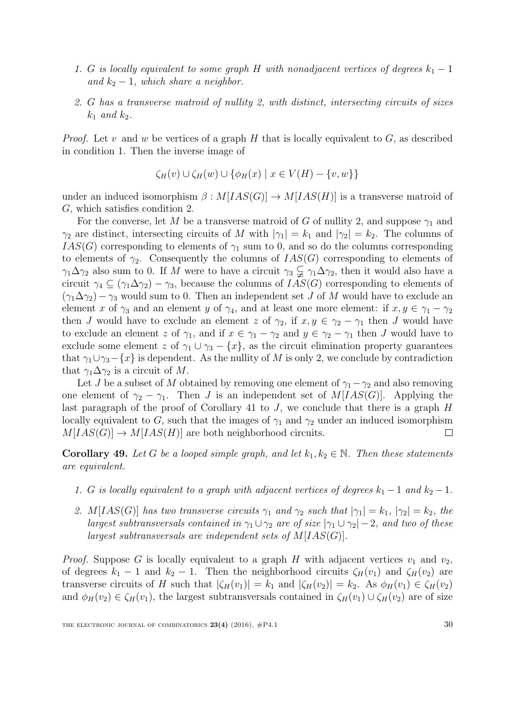- 1. G is locally equivalent to some graph H with nonadjacent vertices of degrees  $k_1 1$ and  $k_2 - 1$ , which share a neighbor.
- 2. G has a transverse matroid of nullity 2, with distinct, intersecting circuits of sizes  $k_1$  and  $k_2$ .

*Proof.* Let v and w be vertices of a graph H that is locally equivalent to  $G$ , as described in condition 1. Then the inverse image of

$$
\zeta_H(v) \cup \zeta_H(w) \cup \{\phi_H(x) \mid x \in V(H) - \{v, w\}\}\
$$

under an induced isomorphism  $\beta : M[IAS(G)] \rightarrow M[IAS(H)]$  is a transverse matroid of G, which satisfies condition 2.

For the converse, let M be a transverse matroid of G of nullity 2, and suppose  $\gamma_1$  and  $\gamma_2$  are distinct, intersecting circuits of M with  $|\gamma_1| = k_1$  and  $|\gamma_2| = k_2$ . The columns of  $IAS(G)$  corresponding to elements of  $\gamma_1$  sum to 0, and so do the columns corresponding to elements of  $\gamma_2$ . Consequently the columns of  $IAS(G)$  corresponding to elements of  $\gamma_1\Delta\gamma_2$  also sum to 0. If M were to have a circuit  $\gamma_3 \subsetneq \gamma_1\Delta\gamma_2$ , then it would also have a circuit  $\gamma_4 \subseteq (\gamma_1 \Delta \gamma_2) - \gamma_3$ , because the columns of  $IAS(G)$  corresponding to elements of  $(\gamma_1 \Delta \gamma_2) - \gamma_3$  would sum to 0. Then an independent set J of M would have to exclude an element x of  $\gamma_3$  and an element y of  $\gamma_4$ , and at least one more element: if  $x, y \in \gamma_1 - \gamma_2$ then J would have to exclude an element z of  $\gamma_2$ , if  $x, y \in \gamma_2 - \gamma_1$  then J would have to exclude an element z of  $\gamma_1$ , and if  $x \in \gamma_1 - \gamma_2$  and  $y \in \gamma_2 - \gamma_1$  then J would have to exclude some element z of  $\gamma_1 \cup \gamma_3 - \{x\}$ , as the circuit elimination property guarantees that  $\gamma_1 \cup \gamma_3 - \{x\}$  is dependent. As the nullity of M is only 2, we conclude by contradiction that  $\gamma_1 \Delta \gamma_2$  is a circuit of M.

Let J be a subset of M obtained by removing one element of  $\gamma_1-\gamma_2$  and also removing one element of  $\gamma_2 - \gamma_1$ . Then J is an independent set of  $M[IAS(G)]$ . Applying the last paragraph of the proof of Corollary [41](#page-24-0) to  $J$ , we conclude that there is a graph  $H$ locally equivalent to G, such that the images of  $\gamma_1$  and  $\gamma_2$  under an induced isomorphism  $M[IAS(G)] \rightarrow M[IAS(H)]$  are both neighborhood circuits.  $\Box$ 

**Corollary 49.** Let G be a looped simple graph, and let  $k_1, k_2 \in \mathbb{N}$ . Then these statements are equivalent.

- 1. G is locally equivalent to a graph with adjacent vertices of degrees  $k_1 1$  and  $k_2 1$ .
- 2. M[IAS(G)] has two transverse circuits  $\gamma_1$  and  $\gamma_2$  such that  $|\gamma_1| = k_1$ ,  $|\gamma_2| = k_2$ , the largest subtransversals contained in  $\gamma_1 \cup \gamma_2$  are of size  $|\gamma_1 \cup \gamma_2| - 2$ , and two of these largest subtransversals are independent sets of  $M[IAS(G)]$ .

*Proof.* Suppose G is locally equivalent to a graph H with adjacent vertices  $v_1$  and  $v_2$ , of degrees  $k_1 - 1$  and  $k_2 - 1$ . Then the neighborhood circuits  $\zeta_H(v_1)$  and  $\zeta_H(v_2)$  are transverse circuits of H such that  $|\zeta_H(v_1)| = k_1$  and  $|\zeta_H(v_2)| = k_2$ . As  $\phi_H(v_1) \in \zeta_H(v_2)$ and  $\phi_H(v_2) \in \zeta_H(v_1)$ , the largest subtransversals contained in  $\zeta_H(v_1) \cup \zeta_H(v_2)$  are of size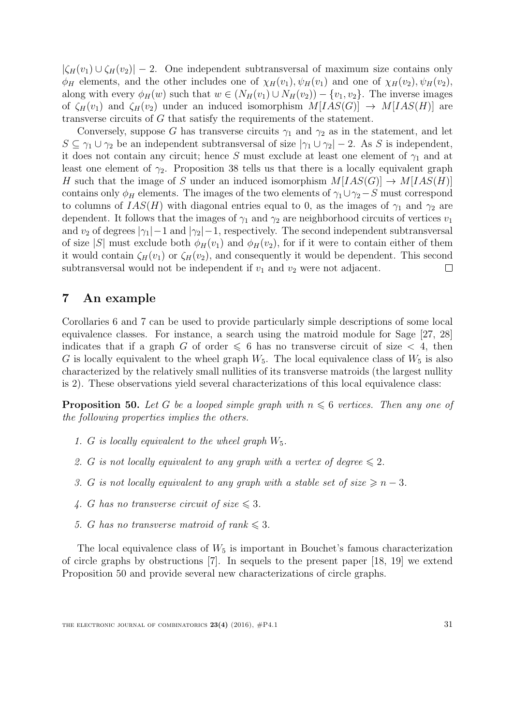$|\zeta_H(v_1) \cup \zeta_H(v_2)| - 2$ . One independent subtransversal of maximum size contains only  $\phi_H$  elements, and the other includes one of  $\chi_H(v_1), \psi_H(v_1)$  and one of  $\chi_H(v_2), \psi_H(v_2)$ , along with every  $\phi_H(w)$  such that  $w \in (N_H(v_1) \cup N_H(v_2)) - \{v_1, v_2\}$ . The inverse images of  $\zeta_H(v_1)$  and  $\zeta_H(v_2)$  under an induced isomorphism  $M[IAS(G)] \rightarrow M[IAS(H)]$  are transverse circuits of G that satisfy the requirements of the statement.

Conversely, suppose G has transverse circuits  $\gamma_1$  and  $\gamma_2$  as in the statement, and let  $S \subseteq \gamma_1 \cup \gamma_2$  be an independent subtransversal of size  $|\gamma_1 \cup \gamma_2| - 2$ . As S is independent, it does not contain any circuit; hence S must exclude at least one element of  $\gamma_1$  and at least one element of  $\gamma_2$ . Proposition [38](#page-22-0) tells us that there is a locally equivalent graph H such that the image of S under an induced isomorphism  $M[IAS(G)] \rightarrow M[IAS(H)]$ contains only  $\phi_H$  elements. The images of the two elements of  $\gamma_1 \cup \gamma_2-S$  must correspond to columns of  $IAS(H)$  with diagonal entries equal to 0, as the images of  $\gamma_1$  and  $\gamma_2$  are dependent. It follows that the images of  $\gamma_1$  and  $\gamma_2$  are neighborhood circuits of vertices  $v_1$ and  $v_2$  of degrees  $|\gamma_1| - 1$  and  $|\gamma_2| - 1$ , respectively. The second independent subtransversal of size |S| must exclude both  $\phi_H(v_1)$  and  $\phi_H(v_2)$ , for if it were to contain either of them it would contain  $\zeta_H(v_1)$  or  $\zeta_H(v_2)$ , and consequently it would be dependent. This second subtransversal would not be independent if  $v_1$  and  $v_2$  were not adjacent.  $\Box$ 

# <span id="page-30-0"></span>7 An example

Corollaries [6](#page-3-2) and [7](#page-4-0) can be used to provide particularly simple descriptions of some local equivalence classes. For instance, a search using the matroid module for Sage [\[27,](#page-40-5) [28\]](#page-40-6) indicates that if a graph G of order  $\leq 6$  has no transverse circuit of size  $\lt 4$ , then G is locally equivalent to the wheel graph  $W_5$ . The local equivalence class of  $W_5$  is also characterized by the relatively small nullities of its transverse matroids (the largest nullity is 2). These observations yield several characterizations of this local equivalence class:

<span id="page-30-1"></span>**Proposition 50.** Let G be a looped simple graph with  $n \leq 6$  vertices. Then any one of the following properties implies the others.

- 1. G is locally equivalent to the wheel graph  $W_5$ .
- 2. G is not locally equivalent to any graph with a vertex of degree  $\leq 2$ .
- 3. G is not locally equivalent to any graph with a stable set of size  $\geq n-3$ .
- 4. G has no transverse circuit of size  $\leq 3$ .
- 5. G has no transverse matroid of rank  $\leq 3$ .

The local equivalence class of  $W_5$  is important in Bouchet's famous characterization of circle graphs by obstructions [\[7\]](#page-39-11). In sequels to the present paper [\[18,](#page-39-9) [19\]](#page-39-12) we extend Proposition [50](#page-30-1) and provide several new characterizations of circle graphs.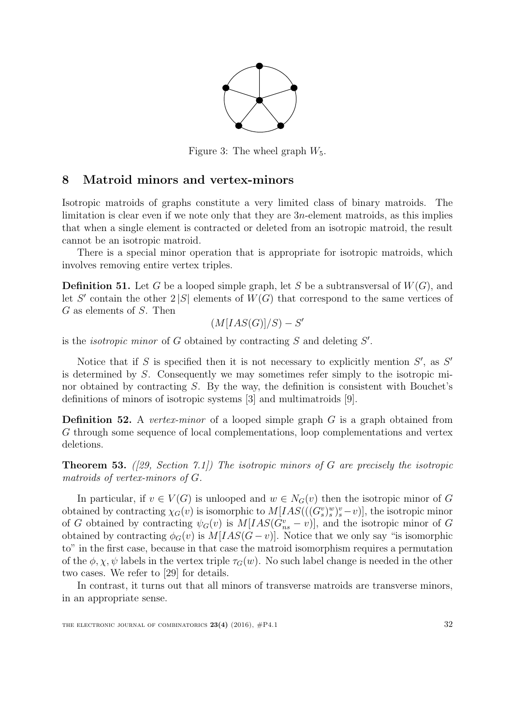

Figure 3: The wheel graph  $W_5$ .

# <span id="page-31-0"></span>8 Matroid minors and vertex-minors

Isotropic matroids of graphs constitute a very limited class of binary matroids. The limitation is clear even if we note only that they are 3n-element matroids, as this implies that when a single element is contracted or deleted from an isotropic matroid, the result cannot be an isotropic matroid.

There is a special minor operation that is appropriate for isotropic matroids, which involves removing entire vertex triples.

**Definition 51.** Let G be a looped simple graph, let S be a subtransversal of  $W(G)$ , and let S' contain the other  $2|S|$  elements of  $W(G)$  that correspond to the same vertices of G as elements of S. Then

$$
(M[IAS(G)]/S) - S'
$$

is the *isotropic minor* of  $G$  obtained by contracting  $S$  and deleting  $S'$ .

Notice that if  $S$  is specified then it is not necessary to explicitly mention  $S'$ , as  $S'$ is determined by S. Consequently we may sometimes refer simply to the isotropic minor obtained by contracting S. By the way, the definition is consistent with Bouchet's definitions of minors of isotropic systems [\[3\]](#page-38-2) and multimatroids [\[9\]](#page-39-2).

**Definition 52.** A vertex-minor of a looped simple graph  $G$  is a graph obtained from G through some sequence of local complementations, loop complementations and vertex deletions.

<span id="page-31-1"></span>**Theorem 53.** ([\[29,](#page-40-0) Section 7.1]) The isotropic minors of G are precisely the isotropic matroids of vertex-minors of G.

In particular, if  $v \in V(G)$  is unlooped and  $w \in N_G(v)$  then the isotropic minor of G obtained by contracting  $\chi_G(v)$  is isomorphic to  $M[IAS(((G_s^v)_s^w)^v_s-v)],$  the isotropic minor of G obtained by contracting  $\psi_G(v)$  is  $M[IAS(G_{ns}^v - v)],$  and the isotropic minor of G obtained by contracting  $\phi_G(v)$  is  $M[IAS(G - v)]$ . Notice that we only say "is isomorphic to" in the first case, because in that case the matroid isomorphism requires a permutation of the  $\phi$ ,  $\chi$ ,  $\psi$  labels in the vertex triple  $\tau_G(w)$ . No such label change is needed in the other two cases. We refer to [\[29\]](#page-40-0) for details.

In contrast, it turns out that all minors of transverse matroids are transverse minors, in an appropriate sense.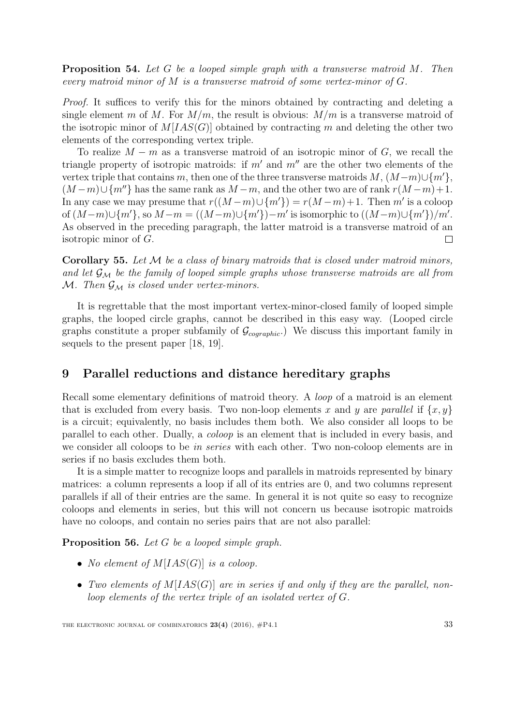**Proposition 54.** Let G be a looped simple graph with a transverse matroid M. Then every matroid minor of M is a transverse matroid of some vertex-minor of G.

Proof. It suffices to verify this for the minors obtained by contracting and deleting a single element m of M. For  $M/m$ , the result is obvious:  $M/m$  is a transverse matroid of the isotropic minor of  $M[IAS(G)]$  obtained by contracting m and deleting the other two elements of the corresponding vertex triple.

To realize  $M - m$  as a transverse matroid of an isotropic minor of G, we recall the triangle property of isotropic matroids: if  $m'$  and  $m''$  are the other two elements of the vertex triple that contains m, then one of the three transverse matroids  $M$ ,  $(M-m)\cup\{m'\}$ ,  $(M-m)\cup\{m''\}$  has the same rank as  $M-m$ , and the other two are of rank  $r(M-m)+1$ . In any case we may presume that  $r((M-m)\cup\{m'\}) = r(M-m)+1$ . Then m' is a coloop of  $(M-m) \cup \{m'\}$ , so  $M-m = ((M-m) \cup \{m'\}) - m'$  is isomorphic to  $((M-m) \cup \{m'\})/m'$ . As observed in the preceding paragraph, the latter matroid is a transverse matroid of an isotropic minor of G.  $\Box$ 

**Corollary 55.** Let  $M$  be a class of binary matroids that is closed under matroid minors, and let  $\mathcal{G}_{\mathcal{M}}$  be the family of looped simple graphs whose transverse matroids are all from M. Then  $\mathcal{G}_{\mathcal{M}}$  is closed under vertex-minors.

It is regrettable that the most important vertex-minor-closed family of looped simple graphs, the looped circle graphs, cannot be described in this easy way. (Looped circle graphs constitute a proper subfamily of  $\mathcal{G}_{coographic}$ . We discuss this important family in sequels to the present paper [\[18,](#page-39-9) [19\]](#page-39-12).

# <span id="page-32-0"></span>9 Parallel reductions and distance hereditary graphs

Recall some elementary definitions of matroid theory. A loop of a matroid is an element that is excluded from every basis. Two non-loop elements x and y are parallel if  $\{x, y\}$ is a circuit; equivalently, no basis includes them both. We also consider all loops to be parallel to each other. Dually, a coloop is an element that is included in every basis, and we consider all coloops to be *in series* with each other. Two non-coloop elements are in series if no basis excludes them both.

It is a simple matter to recognize loops and parallels in matroids represented by binary matrices: a column represents a loop if all of its entries are 0, and two columns represent parallels if all of their entries are the same. In general it is not quite so easy to recognize coloops and elements in series, but this will not concern us because isotropic matroids have no coloops, and contain no series pairs that are not also parallel:

<span id="page-32-1"></span>Proposition 56. Let G be a looped simple graph.

- No element of  $M[IAS(G)]$  is a coloop.
- Two elements of  $M[IAS(G)]$  are in series if and only if they are the parallel, nonloop elements of the vertex triple of an isolated vertex of G.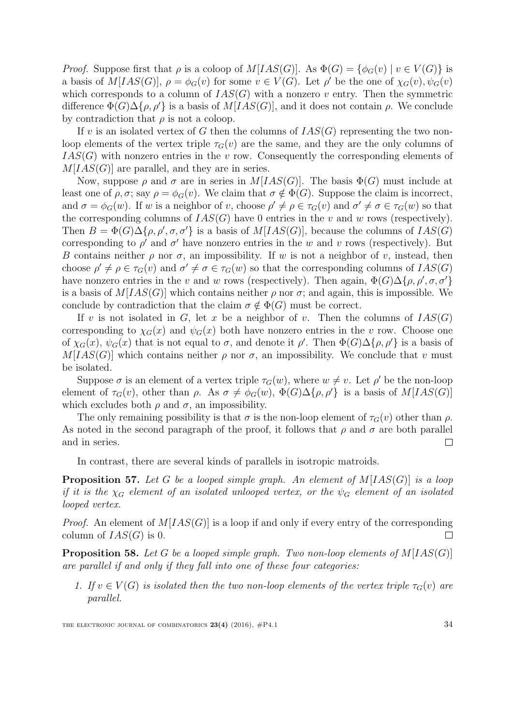*Proof.* Suppose first that  $\rho$  is a coloop of  $M[IAS(G)]$ . As  $\Phi(G) = {\phi_G(v) | v \in V(G)}$  is a basis of  $M[IAS(G)], \rho = \phi_G(v)$  for some  $v \in V(G)$ . Let  $\rho'$  be the one of  $\chi_G(v), \psi_G(v)$ which corresponds to a column of  $IAS(G)$  with a nonzero v entry. Then the symmetric difference  $\Phi(G) \Delta \{\rho, \rho'\}$  is a basis of  $M[IAS(G)]$ , and it does not contain  $\rho$ . We conclude by contradiction that  $\rho$  is not a coloop.

If v is an isolated vertex of G then the columns of  $IAS(G)$  representing the two nonloop elements of the vertex triple  $\tau_G(v)$  are the same, and they are the only columns of  $IAS(G)$  with nonzero entries in the v row. Consequently the corresponding elements of  $M[IAS(G)]$  are parallel, and they are in series.

Now, suppose  $\rho$  and  $\sigma$  are in series in  $M[IAS(G)]$ . The basis  $\Phi(G)$  must include at least one of  $\rho$ ,  $\sigma$ ; say  $\rho = \phi_G(v)$ . We claim that  $\sigma \notin \Phi(G)$ . Suppose the claim is incorrect, and  $\sigma = \phi_G(w)$ . If w is a neighbor of v, choose  $\rho' \neq \rho \in \tau_G(v)$  and  $\sigma' \neq \sigma \in \tau_G(w)$  so that the corresponding columns of  $IAS(G)$  have 0 entries in the v and w rows (respectively). Then  $B = \Phi(G) \Delta \{\rho, \rho', \sigma, \sigma'\}$  is a basis of  $M[IAS(G)],$  because the columns of  $IAS(G)$ corresponding to  $\rho'$  and  $\sigma'$  have nonzero entries in the w and v rows (respectively). But B contains neither  $\rho$  nor  $\sigma$ , an impossibility. If w is not a neighbor of v, instead, then choose  $\rho' \neq \rho \in \tau_G(v)$  and  $\sigma' \neq \sigma \in \tau_G(w)$  so that the corresponding columns of  $IAS(G)$ have nonzero entries in the v and w rows (respectively). Then again,  $\Phi(G) \Delta \{\rho, \rho', \sigma, \sigma'\}$ is a basis of  $M[IAS(G)]$  which contains neither  $\rho$  nor  $\sigma$ ; and again, this is impossible. We conclude by contradiction that the claim  $\sigma \notin \Phi(G)$  must be correct.

If v is not isolated in G, let x be a neighbor of v. Then the columns of  $IAS(G)$ corresponding to  $\chi_G(x)$  and  $\psi_G(x)$  both have nonzero entries in the v row. Choose one of  $\chi_G(x)$ ,  $\psi_G(x)$  that is not equal to  $\sigma$ , and denote it  $\rho'$ . Then  $\Phi(G)\Delta\{\rho,\rho'\}$  is a basis of  $M[IAS(G)]$  which contains neither  $\rho$  nor  $\sigma$ , an impossibility. We conclude that v must be isolated.

Suppose  $\sigma$  is an element of a vertex triple  $\tau_G(w)$ , where  $w \neq v$ . Let  $\rho'$  be the non-loop element of  $\tau_G(v)$ , other than  $\rho$ . As  $\sigma \neq \phi_G(w)$ ,  $\Phi(G) \Delta {\rho, \rho'}$  is a basis of  $M[IAS(G)]$ which excludes both  $\rho$  and  $\sigma$ , an impossibility.

The only remaining possibility is that  $\sigma$  is the non-loop element of  $\tau_G(v)$  other than  $\rho$ . As noted in the second paragraph of the proof, it follows that  $\rho$  and  $\sigma$  are both parallel and in series.  $\Box$ 

In contrast, there are several kinds of parallels in isotropic matroids.

<span id="page-33-0"></span>**Proposition 57.** Let G be a looped simple graph. An element of  $M[IAS(G)]$  is a loop if it is the  $\chi_G$  element of an isolated unlooped vertex, or the  $\psi_G$  element of an isolated looped vertex.

*Proof.* An element of  $M[IAS(G)]$  is a loop if and only if every entry of the corresponding column of  $IAS(G)$  is 0.  $\Box$ 

<span id="page-33-1"></span>**Proposition 58.** Let G be a looped simple graph. Two non-loop elements of  $M[IAS(G)]$ are parallel if and only if they fall into one of these four categories:

1. If  $v \in V(G)$  is isolated then the two non-loop elements of the vertex triple  $\tau_G(v)$  are parallel.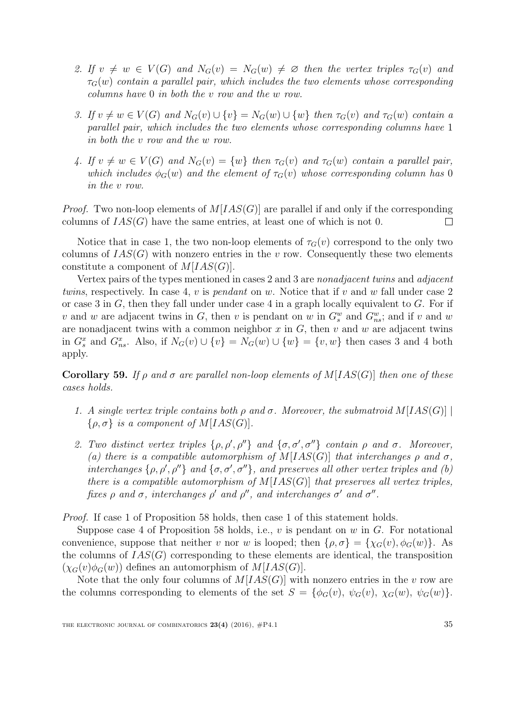- 2. If  $v \neq w \in V(G)$  and  $N_G(v) = N_G(w) \neq \emptyset$  then the vertex triples  $\tau_G(v)$  and  $\tau_G(w)$  contain a parallel pair, which includes the two elements whose corresponding columns have 0 in both the v row and the w row.
- 3. If  $v \neq w \in V(G)$  and  $N_G(v) \cup \{v\} = N_G(w) \cup \{w\}$  then  $\tau_G(v)$  and  $\tau_G(w)$  contain a parallel pair, which includes the two elements whose corresponding columns have 1 in both the v row and the w row.
- 4. If  $v \neq w \in V(G)$  and  $N_G(v) = \{w\}$  then  $\tau_G(v)$  and  $\tau_G(w)$  contain a parallel pair, which includes  $\phi_G(w)$  and the element of  $\tau_G(v)$  whose corresponding column has 0 in the v row.

*Proof.* Two non-loop elements of  $M[IAS(G)]$  are parallel if and only if the corresponding columns of  $IAS(G)$  have the same entries, at least one of which is not 0.  $\Box$ 

Notice that in case 1, the two non-loop elements of  $\tau_G(v)$  correspond to the only two columns of  $IAS(G)$  with nonzero entries in the v row. Consequently these two elements constitute a component of  $M[IAS(G)].$ 

Vertex pairs of the types mentioned in cases 2 and 3 are nonadjacent twins and adjacent twins, respectively. In case 4, v is *pendant* on w. Notice that if v and w fall under case 2 or case 3 in  $G$ , then they fall under under case 4 in a graph locally equivalent to  $G$ . For if v and w are adjacent twins in G, then v is pendant on w in  $G_s^w$  and  $G_{ns}^w$ ; and if v and w are nonadjacent twins with a common neighbor  $x$  in  $G$ , then  $v$  and  $w$  are adjacent twins in  $G_s^x$  and  $G_{ns}^x$ . Also, if  $N_G(v) \cup \{v\} = N_G(w) \cup \{w\} = \{v, w\}$  then cases 3 and 4 both apply.

<span id="page-34-0"></span>Corollary 59. If  $\rho$  and  $\sigma$  are parallel non-loop elements of  $M[IAS(G)]$  then one of these cases holds.

- 1. A single vertex triple contains both  $\rho$  and  $\sigma$ . Moreover, the submatroid  $M[IAS(G)]$  $\{\rho, \sigma\}$  is a component of  $M[IAS(G)].$
- 2. Two distinct vertex triples  $\{\rho, \rho', \rho''\}$  and  $\{\sigma, \sigma', \sigma''\}$  contain  $\rho$  and  $\sigma$ . Moreover, (a) there is a compatible automorphism of  $M[IAS(G)]$  that interchanges  $\rho$  and  $\sigma$ , interchanges  $\{\rho, \rho', \rho''\}$  and  $\{\sigma, \sigma', \sigma''\}$ , and preserves all other vertex triples and (b) there is a compatible automorphism of  $M[IAS(G)]$  that preserves all vertex triples, fixes  $\rho$  and  $\sigma$ , interchanges  $\rho'$  and  $\rho''$ , and interchanges  $\sigma'$  and  $\sigma''$ .

Proof. If case 1 of Proposition [58](#page-33-1) holds, then case 1 of this statement holds.

Suppose case 4 of Proposition [58](#page-33-1) holds, i.e.,  $v$  is pendant on  $w$  in  $G$ . For notational convenience, suppose that neither v nor w is looped; then  $\{\rho, \sigma\} = \{\chi_G(v), \phi_G(w)\}\$ . As the columns of  $IAS(G)$  corresponding to these elements are identical, the transposition  $(\chi_G(v)\phi_G(w))$  defines an automorphism of  $M[IAS(G)].$ 

Note that the only four columns of  $M[IAS(G)]$  with nonzero entries in the v row are the columns corresponding to elements of the set  $S = {\phi_G(v), \psi_G(v), \chi_G(w), \psi_G(w)}$ .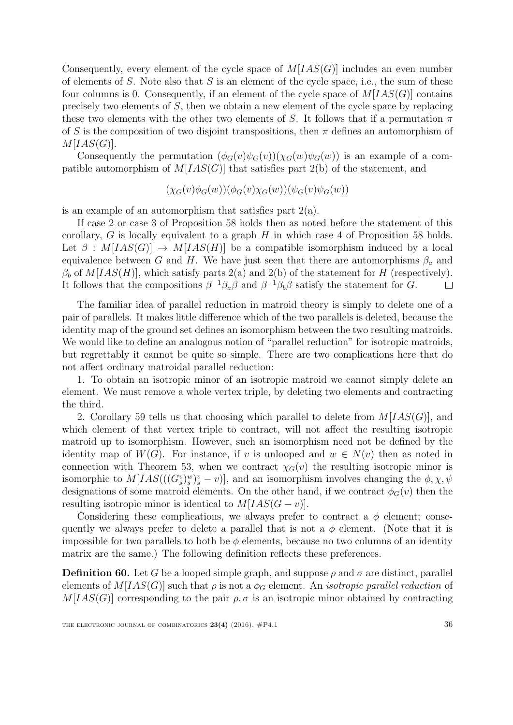Consequently, every element of the cycle space of  $M[IAS(G)]$  includes an even number of elements of  $S$ . Note also that  $S$  is an element of the cycle space, i.e., the sum of these four columns is 0. Consequently, if an element of the cycle space of  $M[IAS(G)]$  contains precisely two elements of S, then we obtain a new element of the cycle space by replacing these two elements with the other two elements of S. It follows that if a permutation  $\pi$ of S is the composition of two disjoint transpositions, then  $\pi$  defines an automorphism of  $M[IAS(G)].$ 

Consequently the permutation  $(\phi_G(v)\psi_G(v))(\chi_G(w)\psi_G(w))$  is an example of a compatible automorphism of  $M[IAS(G)]$  that satisfies part 2(b) of the statement, and

$$
(\chi_G(v)\phi_G(w))(\phi_G(v)\chi_G(w))(\psi_G(v)\psi_G(w))
$$

is an example of an automorphism that satisfies part  $2(a)$ .

If case 2 or case 3 of Proposition [58](#page-33-1) holds then as noted before the statement of this corollary, G is locally equivalent to a graph  $H$  in which case 4 of Proposition [58](#page-33-1) holds. Let  $\beta$ :  $M[IAS(G)] \rightarrow M[IAS(H)]$  be a compatible isomorphism induced by a local equivalence between G and H. We have just seen that there are automorphisms  $\beta_a$  and  $\beta_b$  of  $M[IAS(H)]$ , which satisfy parts 2(a) and 2(b) of the statement for H (respectively). It follows that the compositions  $\beta^{-1}\beta_a\beta$  and  $\beta^{-1}\beta_b\beta$  satisfy the statement for G.  $\Box$ 

The familiar idea of parallel reduction in matroid theory is simply to delete one of a pair of parallels. It makes little difference which of the two parallels is deleted, because the identity map of the ground set defines an isomorphism between the two resulting matroids. We would like to define an analogous notion of "parallel reduction" for isotropic matroids, but regrettably it cannot be quite so simple. There are two complications here that do not affect ordinary matroidal parallel reduction:

1. To obtain an isotropic minor of an isotropic matroid we cannot simply delete an element. We must remove a whole vertex triple, by deleting two elements and contracting the third.

2. Corollary [59](#page-34-0) tells us that choosing which parallel to delete from  $M[IAS(G)]$ , and which element of that vertex triple to contract, will not affect the resulting isotropic matroid up to isomorphism. However, such an isomorphism need not be defined by the identity map of  $W(G)$ . For instance, if v is unlooped and  $w \in N(v)$  then as noted in connection with Theorem [53,](#page-31-1) when we contract  $\chi_G(v)$  the resulting isotropic minor is isomorphic to  $M[IAS(((G_s^v)_s^w)_s^v - v)],$  and an isomorphism involves changing the  $\phi, \chi, \psi$ designations of some matroid elements. On the other hand, if we contract  $\phi_G(v)$  then the resulting isotropic minor is identical to  $M[IAS(G - v)].$ 

Considering these complications, we always prefer to contract a  $\phi$  element; consequently we always prefer to delete a parallel that is not a  $\phi$  element. (Note that it is impossible for two parallels to both be  $\phi$  elements, because no two columns of an identity matrix are the same.) The following definition reflects these preferences.

**Definition 60.** Let G be a looped simple graph, and suppose  $\rho$  and  $\sigma$  are distinct, parallel elements of  $M[IAS(G)]$  such that  $\rho$  is not a  $\phi_G$  element. An *isotropic parallel reduction* of  $M[IAS(G)]$  corresponding to the pair  $\rho, \sigma$  is an isotropic minor obtained by contracting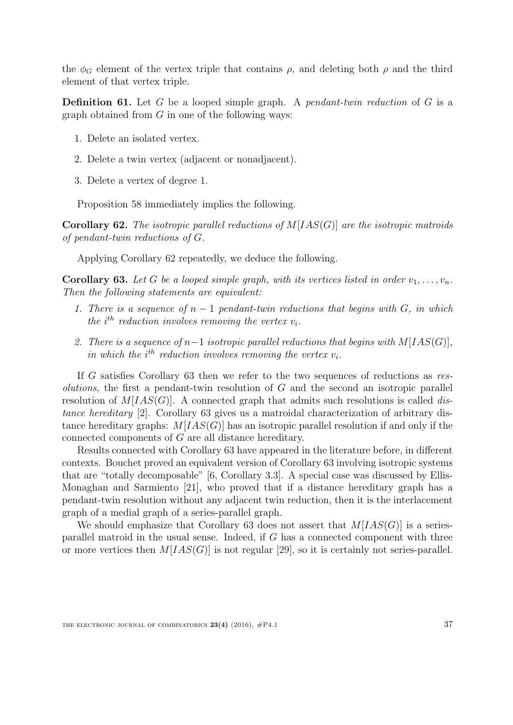the  $\phi_G$  element of the vertex triple that contains  $\rho$ , and deleting both  $\rho$  and the third element of that vertex triple.

**Definition 61.** Let G be a looped simple graph. A *pendant-twin reduction* of G is a graph obtained from  $G$  in one of the following ways:

- 1. Delete an isolated vertex.
- 2. Delete a twin vertex (adjacent or nonadjacent).
- 3. Delete a vertex of degree 1.

Proposition [58](#page-33-1) immediately implies the following.

<span id="page-36-0"></span>**Corollary 62.** The isotropic parallel reductions of  $M[IAS(G)]$  are the isotropic matroids of pendant-twin reductions of G.

Applying Corollary [62](#page-36-0) repeatedly, we deduce the following.

<span id="page-36-1"></span>**Corollary 63.** Let G be a looped simple graph, with its vertices listed in order  $v_1, \ldots, v_n$ . Then the following statements are equivalent:

- 1. There is a sequence of  $n-1$  pendant-twin reductions that begins with  $G$ , in which the  $i^{th}$  reduction involves removing the vertex  $v_i$ .
- 2. There is a sequence of  $n-1$  isotropic parallel reductions that begins with  $M[IAS(G)],$ in which the  $i^{th}$  reduction involves removing the vertex  $v_i$ .

If G satisfies Corollary [63](#page-36-1) then we refer to the two sequences of reductions as res*olutions*, the first a pendant-twin resolution of  $G$  and the second an isotropic parallel resolution of  $M[IAS(G)]$ . A connected graph that admits such resolutions is called distance hereditary [\[2\]](#page-38-0). Corollary [63](#page-36-1) gives us a matroidal characterization of arbitrary distance hereditary graphs:  $M[IAS(G)]$  has an isotropic parallel resolution if and only if the connected components of G are all distance hereditary.

Results connected with Corollary [63](#page-36-1) have appeared in the literature before, in different contexts. Bouchet proved an equivalent version of Corollary [63](#page-36-1) involving isotropic systems that are "totally decomposable" [\[6,](#page-38-5) Corollary 3.3]. A special case was discussed by Ellis-Monaghan and Sarmiento [\[21\]](#page-39-13), who proved that if a distance hereditary graph has a pendant-twin resolution without any adjacent twin reduction, then it is the interlacement graph of a medial graph of a series-parallel graph.

We should emphasize that Corollary [63](#page-36-1) does not assert that  $M[IAS(G)]$  is a seriesparallel matroid in the usual sense. Indeed, if G has a connected component with three or more vertices then  $M[IAS(G)]$  is not regular [\[29\]](#page-40-0), so it is certainly not series-parallel.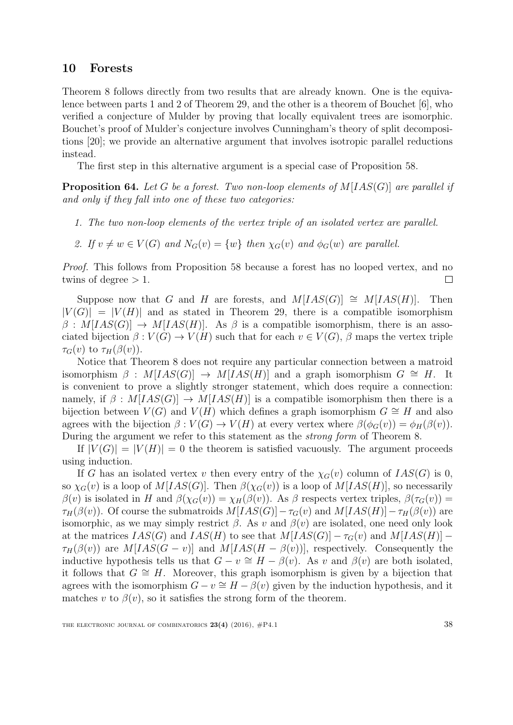### <span id="page-37-0"></span>10 Forests

Theorem [8](#page-4-1) follows directly from two results that are already known. One is the equivalence between parts 1 and 2 of Theorem [29,](#page-18-1) and the other is a theorem of Bouchet [\[6\]](#page-38-5), who verified a conjecture of Mulder by proving that locally equivalent trees are isomorphic. Bouchet's proof of Mulder's conjecture involves Cunningham's theory of split decompositions [\[20\]](#page-39-14); we provide an alternative argument that involves isotropic parallel reductions instead.

The first step in this alternative argument is a special case of Proposition [58.](#page-33-1)

<span id="page-37-1"></span>**Proposition 64.** Let G be a forest. Two non-loop elements of  $M[IAS(G)]$  are parallel if and only if they fall into one of these two categories:

- 1. The two non-loop elements of the vertex triple of an isolated vertex are parallel.
- 2. If  $v \neq w \in V(G)$  and  $N_G(v) = \{w\}$  then  $\chi_G(v)$  and  $\phi_G(w)$  are parallel.

Proof. This follows from Proposition [58](#page-33-1) because a forest has no looped vertex, and no twins of degree  $> 1$ .  $\Box$ 

Suppose now that G and H are forests, and  $M[IAS(G)] \cong M[IAS(H)]$ . Then  $|V(G)| = |V(H)|$  and as stated in Theorem [29,](#page-18-1) there is a compatible isomorphism  $\beta: M[IAS(G)] \rightarrow M[IAS(H)]$ . As  $\beta$  is a compatible isomorphism, there is an associated bijection  $\beta: V(G) \to V(H)$  such that for each  $v \in V(G)$ ,  $\beta$  maps the vertex triple  $\tau_G(v)$  to  $\tau_H(\beta(v))$ .

Notice that Theorem [8](#page-4-1) does not require any particular connection between a matroid isomorphism  $\beta$  :  $M[IAS(G)] \rightarrow M[IAS(H)]$  and a graph isomorphism  $G \cong H$ . It is convenient to prove a slightly stronger statement, which does require a connection: namely, if  $\beta$  :  $M[IAS(G)] \rightarrow M[IAS(H)]$  is a compatible isomorphism then there is a bijection between  $V(G)$  and  $V(H)$  which defines a graph isomorphism  $G \cong H$  and also agrees with the bijection  $\beta: V(G) \to V(H)$  at every vertex where  $\beta(\phi_G(v)) = \phi_H(\beta(v))$ . During the argument we refer to this statement as the strong form of Theorem [8.](#page-4-1)

If  $|V(G)| = |V(H)| = 0$  the theorem is satisfied vacuously. The argument proceeds using induction.

If G has an isolated vertex v then every entry of the  $\chi_G(v)$  column of  $IAS(G)$  is 0, so  $\chi_G(v)$  is a loop of  $M[IAS(G)]$ . Then  $\beta(\chi_G(v))$  is a loop of  $M[IAS(H)]$ , so necessarily  $\beta(v)$  is isolated in H and  $\beta(\chi_G(v)) = \chi_H(\beta(v))$ . As  $\beta$  respects vertex triples,  $\beta(\tau_G(v)) =$  $\tau_H(\beta(v))$ . Of course the submatroids  $M[IAS(G)]-\tau_G(v)$  and  $M[IAS(H)]-\tau_H(\beta(v))$  are isomorphic, as we may simply restrict  $\beta$ . As v and  $\beta(v)$  are isolated, one need only look at the matrices  $IAS(G)$  and  $IAS(H)$  to see that  $M[IAS(G)] - \tau_G(v)$  and  $M[IAS(H)] \tau_H(\beta(v))$  are  $M[IAS(G-v)]$  and  $M[IAS(H-\beta(v))]$ , respectively. Consequently the inductive hypothesis tells us that  $G - v \cong H - \beta(v)$ . As v and  $\beta(v)$  are both isolated, it follows that  $G \cong H$ . Moreover, this graph isomorphism is given by a bijection that agrees with the isomorphism  $G - v \cong H - \beta(v)$  given by the induction hypothesis, and it matches v to  $\beta(v)$ , so it satisfies the strong form of the theorem.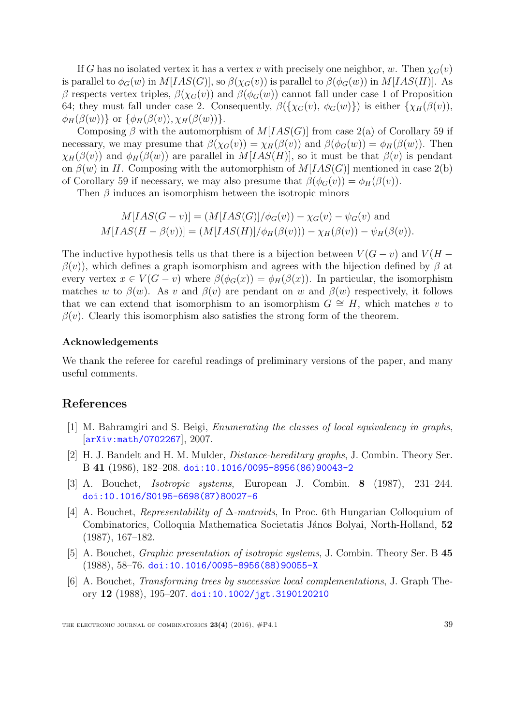If G has no isolated vertex it has a vertex v with precisely one neighbor, w. Then  $\chi_G(v)$ is parallel to  $\phi_G(w)$  in  $M[IAS(G)]$ , so  $\beta(\chi_G(v))$  is parallel to  $\beta(\phi_G(w))$  in  $M[IAS(H)]$ . As β respects vertex triples,  $β(\chi_G(v))$  and  $β(φ_G(w))$  cannot fall under case 1 of Proposition [64;](#page-37-1) they must fall under case 2. Consequently,  $\beta({\chi_G(v), \phi_G(w)})$  is either  ${\chi_H(\beta(v))}$ ,  $\phi_H(\beta(w))$ } or  $\{\phi_H(\beta(v)), \chi_H(\beta(w))\}$ .

Composing β with the automorphism of  $M[IAS(G)]$  from case 2(a) of Corollary [59](#page-34-0) if necessary, we may presume that  $\beta(\chi_G(v)) = \chi_H(\beta(v))$  and  $\beta(\phi_G(w)) = \phi_H(\beta(w))$ . Then  $\chi_H(\beta(v))$  and  $\phi_H(\beta(w))$  are parallel in  $M[IAS(H)]$ , so it must be that  $\beta(v)$  is pendant on  $\beta(w)$  in H. Composing with the automorphism of  $M[IAS(G)]$  mentioned in case 2(b) of Corollary [59](#page-34-0) if necessary, we may also presume that  $\beta(\phi_G(v)) = \phi_H(\beta(v))$ .

Then  $\beta$  induces an isomorphism between the isotropic minors

$$
M[IAS(G - v)] = (M[IAS(G)]/\phi_G(v)) - \chi_G(v) - \psi_G(v) \text{ and}
$$
  
 
$$
M[IAS(H - \beta(v))] = (M[IAS(H)]/\phi_H(\beta(v))) - \chi_H(\beta(v)) - \psi_H(\beta(v)).
$$

The inductive hypothesis tells us that there is a bijection between  $V(G - v)$  and  $V(H - v)$  $\beta(v)$ , which defines a graph isomorphism and agrees with the bijection defined by  $\beta$  at every vertex  $x \in V(G - v)$  where  $\beta(\phi_G(x)) = \phi_H(\beta(x))$ . In particular, the isomorphism matches w to  $\beta(w)$ . As v and  $\beta(v)$  are pendant on w and  $\beta(w)$  respectively, it follows that we can extend that isomorphism to an isomorphism  $G \cong H$ , which matches v to  $\beta(v)$ . Clearly this isomorphism also satisfies the strong form of the theorem.

#### Acknowledgements

We thank the referee for careful readings of preliminary versions of the paper, and many useful comments.

## References

- <span id="page-38-4"></span>[1] M. Bahramgiri and S. Beigi, Enumerating the classes of local equivalency in graphs, [[arXiv:math/0702267](http://arxiv.org/abs/math/0702267)], 2007.
- <span id="page-38-0"></span>[2] H. J. Bandelt and H. M. Mulder, Distance-hereditary graphs, J. Combin. Theory Ser. B 41 (1986), 182–208. [doi:10.1016/0095-8956\(86\)90043-2](http://dx.doi.org/10.1016/0095-8956(86)90043-2)
- <span id="page-38-2"></span>[3] A. Bouchet, Isotropic systems, European J. Combin. 8 (1987), 231–244. [doi:10.1016/S0195-6698\(87\)80027-6](http://dx.doi.org/10.1016/S0195-6698(87)80027-6)
- <span id="page-38-1"></span>[4] A. Bouchet, Representability of ∆-matroids, In Proc. 6th Hungarian Colloquium of Combinatorics, Colloquia Mathematica Societatis János Bolyai, North-Holland, 52 (1987), 167–182.
- <span id="page-38-3"></span>[5] A. Bouchet, Graphic presentation of isotropic systems, J. Combin. Theory Ser. B 45 (1988), 58–76. [doi:10.1016/0095-8956\(88\)90055-X](http://dx.doi.org/10.1016/0095-8956(88)90055-X)
- <span id="page-38-5"></span>[6] A. Bouchet, Transforming trees by successive local complementations, J. Graph Theory 12 (1988), 195–207. [doi:10.1002/jgt.3190120210](http://dx.doi.org/10.1002/jgt.3190120210)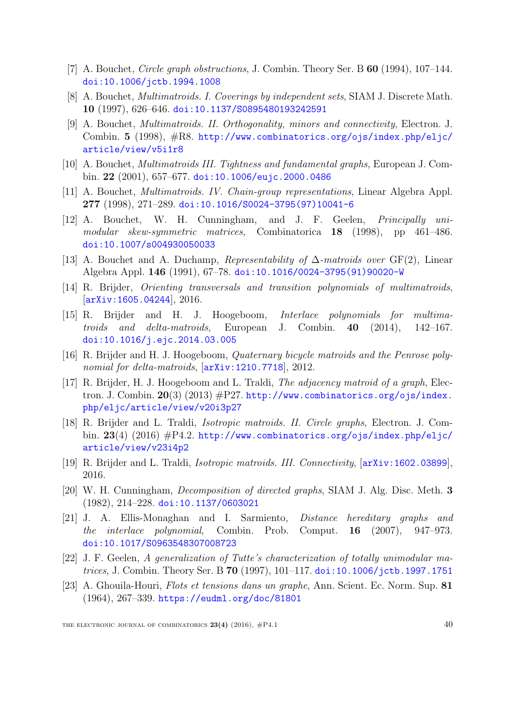- <span id="page-39-11"></span>[7] A. Bouchet, Circle graph obstructions, J. Combin. Theory Ser. B 60 (1994), 107–144. [doi:10.1006/jctb.1994.1008](http://dx.doi.org/10.1006/jctb.1994.1008)
- <span id="page-39-1"></span>[8] A. Bouchet, *Multimatroids. I. Coverings by independent sets*, SIAM J. Discrete Math. 10 (1997), 626–646. [doi:10.1137/S0895480193242591](http://dx.doi.org/10.1137/S0895480193242591)
- <span id="page-39-2"></span>[9] A. Bouchet, Multimatroids. II. Orthogonality, minors and connectivity, Electron. J. Combin. 5 (1998), #R8. [http://www.combinatorics.org/ojs/index.php/eljc/](http://www.combinatorics.org/ojs/index.php/eljc/article/view/v5i1r8) [article/view/v5i1r8](http://www.combinatorics.org/ojs/index.php/eljc/article/view/v5i1r8)
- <span id="page-39-0"></span>[10] A. Bouchet, Multimatroids III. Tightness and fundamental graphs, European J. Combin. 22 (2001), 657–677. [doi:10.1006/eujc.2000.0486](http://dx.doi.org/10.1006/eujc.2000.0486)
- <span id="page-39-3"></span>[11] A. Bouchet, *Multimatroids. IV. Chain-group representations*, Linear Algebra Appl. 277 (1998), 271–289. [doi:10.1016/S0024-3795\(97\)10041-6](http://dx.doi.org/10.1016/S0024-3795(97)10041-6)
- [12] A. Bouchet, W. H. Cunningham, and J. F. Geelen, Principally unimodular skew-symmetric matrices, Combinatorica 18 (1998), pp 461–486. [doi:10.1007/s004930050033](http://dx.doi.org/10.1007/s004930050033)
- <span id="page-39-6"></span>[13] A. Bouchet and A. Duchamp, Representability of  $\Delta$ -matroids over GF(2), Linear Algebra Appl. 146 (1991), 67–78. [doi:10.1016/0024-3795\(91\)90020-W](http://dx.doi.org/10.1016/0024-3795(91)90020-W)
- <span id="page-39-10"></span>[14] R. Brijder, Orienting transversals and transition polynomials of multimatroids, [[arXiv:1605.04244](http://arxiv.org/abs/1605.04244)], 2016.
- <span id="page-39-5"></span>[15] R. Brijder and H. J. Hoogeboom, Interlace polynomials for multimatroids and delta-matroids, European J. Combin. 40 (2014), 142–167. [doi:10.1016/j.ejc.2014.03.005](http://dx.doi.org/10.1016/j.ejc.2014.03.005)
- <span id="page-39-4"></span>[16] R. Brijder and H. J. Hoogeboom, Quaternary bicycle matroids and the Penrose polynomial for delta-matroids,  $[\text{arXiv}:1210.7718]$ , 2012.
- [17] R. Brijder, H. J. Hoogeboom and L. Traldi, *The adjacency matroid of a graph*, Electron. J. Combin.  $20(3)$  (2013)  $\#P27$ . [http://www.combinatorics.org/ojs/index.](http://www.combinatorics.org/ojs/index.php/eljc/article/view/v20i3p27) [php/eljc/article/view/v20i3p27](http://www.combinatorics.org/ojs/index.php/eljc/article/view/v20i3p27)
- <span id="page-39-9"></span>[18] R. Brijder and L. Traldi, Isotropic matroids. II. Circle graphs, Electron. J. Combin. 23(4) (2016) #P4.2. [http://www.combinatorics.org/ojs/index.php/eljc/](http://www.combinatorics.org/ojs/index.php/eljc/article/view/v23i4p2) [article/view/v23i4p2](http://www.combinatorics.org/ojs/index.php/eljc/article/view/v23i4p2)
- <span id="page-39-12"></span>[19] R. Brijder and L. Traldi, Isotropic matroids. III. Connectivity, [[arXiv:1602.03899](http://arxiv.org/abs/1602.03899)], 2016.
- <span id="page-39-14"></span>[20] W. H. Cunningham, Decomposition of directed graphs, SIAM J. Alg. Disc. Meth. 3 (1982), 214–228. [doi:10.1137/0603021](http://dx.doi.org/10.1137/0603021)
- <span id="page-39-13"></span>[21] J. A. Ellis-Monaghan and I. Sarmiento, Distance hereditary graphs and the interlace polynomial, Combin. Prob. Comput. 16 (2007), 947–973. [doi:10.1017/S0963548307008723](http://dx.doi.org/10.1017/S0963548307008723)
- <span id="page-39-8"></span>[22] J. F. Geelen, A generalization of Tutte's characterization of totally unimodular ma*trices*, J. Combin. Theory Ser. B 70 (1997), 101–117. [doi:10.1006/jctb.1997.1751](http://dx.doi.org/10.1006/jctb.1997.1751)
- <span id="page-39-7"></span>[23] A. Ghouila-Houri, Flots et tensions dans un graphe, Ann. Scient. Ec. Norm. Sup. 81 (1964), 267–339. <https://eudml.org/doc/81801>